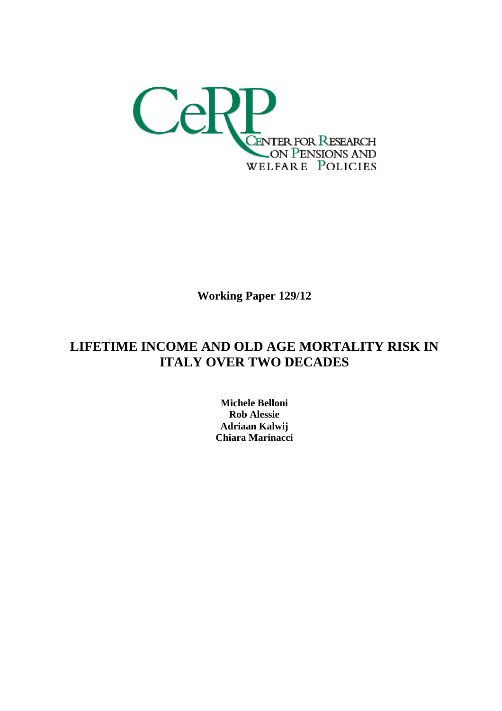

**Working Paper 129/12**

# **LIFETIME INCOME AND OLD AGE MORTALITY RISK IN ITALY OVER TWO DECADES**

**Michele Belloni Rob Alessie Adriaan Kalwij Chiara Marinacci**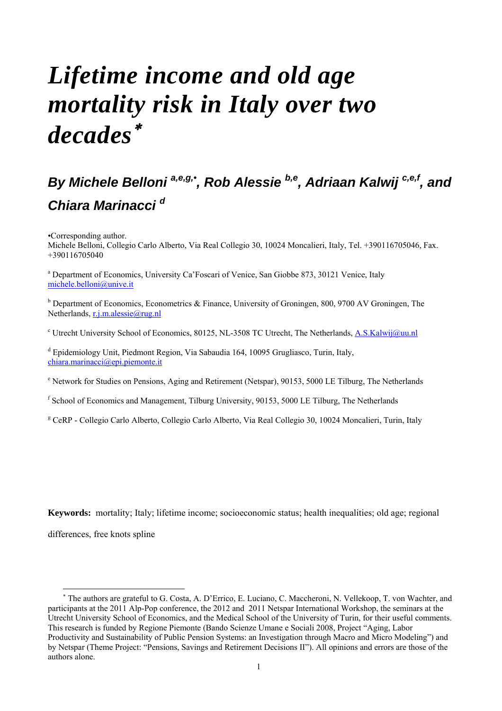# *Lifetime income and old age mortality risk in Italy over two decades*[∗](#page-1-0)

# *By Michele Belloni a,e,g,•, Rob Alessie b,e, Adriaan Kalwij c,e,f, and Chiara Marinacci d*

•Corresponding author.

Michele Belloni, Collegio Carlo Alberto, Via Real Collegio 30, 10024 Moncalieri, Italy, Tel. +390116705046, Fax. +390116705040

<sup>a</sup> Department of Economics, University Ca'Foscari of Venice, San Giobbe 873, 30121 Venice, Italy [michele.belloni@unive.it](mailto:michele.belloni@unive.it)

<sup>b</sup> Department of Economics, Econometrics & Finance, University of Groningen, 800, 9700 AV Groningen, The Netherlands, [r.j.m.alessie@rug.nl](mailto:r.j.m.alessie@rug.nl)

<sup>c</sup> Utrecht University School of Economics, 80125, NL-3508 TC Utrecht, The Netherlands, [A.S.Kalwij@uu.nl](mailto:A.S.Kalwij@uu.nl)

<sup>d</sup> Epidemiology Unit, Piedmont Region, Via Sabaudia 164, 10095 Grugliasco, Turin, Italy, [chiara.marinacci@epi.piemonte.it](mailto:chiara.marinacci@epi.piemonte.it)

<sup>e</sup> Network for Studies on Pensions, Aging and Retirement (Netspar), 90153, 5000 LE Tilburg, The Netherlands

<sup>f</sup> School of Economics and Management, Tilburg University, 90153, 5000 LE Tilburg, The Netherlands

<sup>g</sup> CeRP - Collegio Carlo Alberto, Collegio Carlo Alberto, Via Real Collegio 30, 10024 Moncalieri, Turin, Italy

**Keywords:** mortality; Italy; lifetime income; socioeconomic status; health inequalities; old age; regional

differences, free knots spline

 $\overline{a}$ 

<span id="page-1-0"></span><sup>∗</sup> The authors are grateful to G. Costa, A. D'Errico, E. Luciano, C. Maccheroni, N. Vellekoop, T. von Wachter, and participants at the 2011 Alp-Pop conference, the 2012 and 2011 Netspar International Workshop, the seminars at the Utrecht University School of Economics, and the Medical School of the University of Turin, for their useful comments. This research is funded by Regione Piemonte (Bando Scienze Umane e Sociali 2008, Project "Aging, Labor Productivity and Sustainability of Public Pension Systems: an Investigation through Macro and Micro Modeling") and by Netspar (Theme Project: "Pensions, Savings and Retirement Decisions II"). All opinions and errors are those of the authors alone.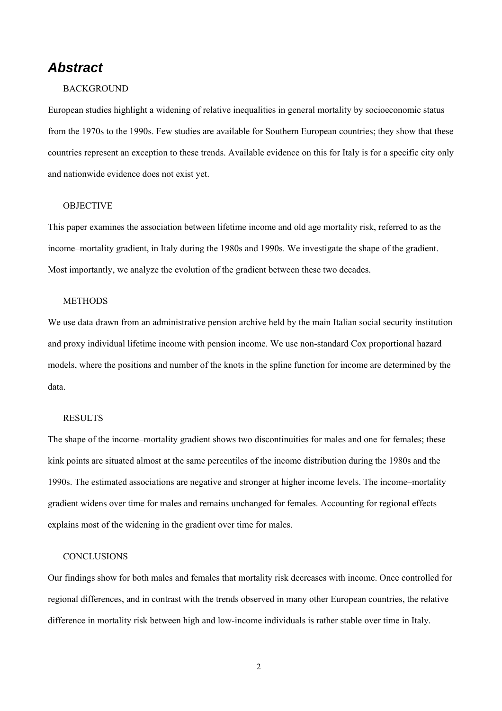# *Abstract*

#### BACKGROUND

European studies highlight a widening of relative inequalities in general mortality by socioeconomic status from the 1970s to the 1990s. Few studies are available for Southern European countries; they show that these countries represent an exception to these trends. Available evidence on this for Italy is for a specific city only and nationwide evidence does not exist yet.

#### OBJECTIVE

This paper examines the association between lifetime income and old age mortality risk, referred to as the income–mortality gradient, in Italy during the 1980s and 1990s. We investigate the shape of the gradient. Most importantly, we analyze the evolution of the gradient between these two decades.

#### **METHODS**

We use data drawn from an administrative pension archive held by the main Italian social security institution and proxy individual lifetime income with pension income. We use non-standard Cox proportional hazard models, where the positions and number of the knots in the spline function for income are determined by the data.

#### RESULTS

The shape of the income–mortality gradient shows two discontinuities for males and one for females; these kink points are situated almost at the same percentiles of the income distribution during the 1980s and the 1990s. The estimated associations are negative and stronger at higher income levels. The income–mortality gradient widens over time for males and remains unchanged for females. Accounting for regional effects explains most of the widening in the gradient over time for males.

#### **CONCLUSIONS**

Our findings show for both males and females that mortality risk decreases with income. Once controlled for regional differences, and in contrast with the trends observed in many other European countries, the relative difference in mortality risk between high and low-income individuals is rather stable over time in Italy.

2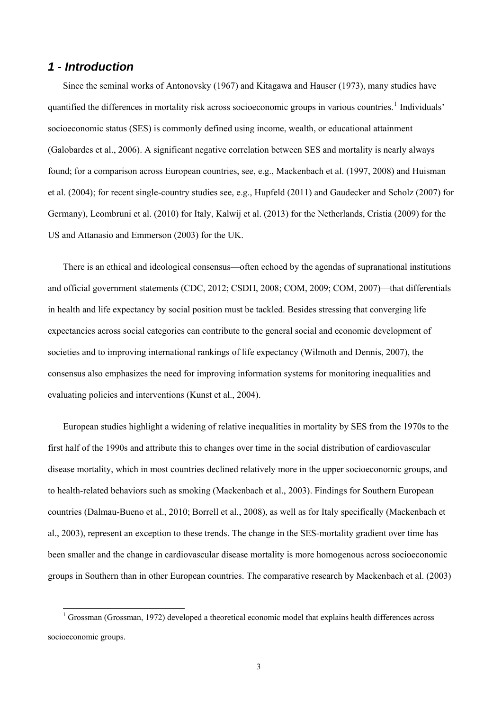#### *1 - Introduction*

 $\overline{a}$ 

Since the seminal works of Antonovsky (1967) and Kitagawa and Hauser (1973), many studies have quantified the differences in mortality risk across socioeconomic groups in various countries.<sup>[1](#page-3-0)</sup> Individuals' socioeconomic status (SES) is commonly defined using income, wealth, or educational attainment (Galobardes et al., 2006). A significant negative correlation between SES and mortality is nearly always found; for a comparison across European countries, see, e.g., Mackenbach et al. (1997, 2008) and Huisman et al. (2004); for recent single-country studies see, e.g., Hupfeld (2011) and Gaudecker and Scholz (2007) for Germany), Leombruni et al. (2010) for Italy, Kalwij et al. (2013) for the Netherlands, Cristia (2009) for the US and Attanasio and Emmerson (2003) for the UK.

There is an ethical and ideological consensus—often echoed by the agendas of supranational institutions and official government statements (CDC, 2012; CSDH, 2008; COM, 2009; COM, 2007)—that differentials in health and life expectancy by social position must be tackled. Besides stressing that converging life expectancies across social categories can contribute to the general social and economic development of societies and to improving international rankings of life expectancy (Wilmoth and Dennis, 2007), the consensus also emphasizes the need for improving information systems for monitoring inequalities and evaluating policies and interventions (Kunst et al., 2004).

European studies highlight a widening of relative inequalities in mortality by SES from the 1970s to the first half of the 1990s and attribute this to changes over time in the social distribution of cardiovascular disease mortality, which in most countries declined relatively more in the upper socioeconomic groups, and to health-related behaviors such as smoking (Mackenbach et al., 2003). Findings for Southern European countries (Dalmau-Bueno et al., 2010; Borrell et al., 2008), as well as for Italy specifically (Mackenbach et al., 2003), represent an exception to these trends. The change in the SES-mortality gradient over time has been smaller and the change in cardiovascular disease mortality is more homogenous across socioeconomic groups in Southern than in other European countries. The comparative research by Mackenbach et al. (2003)

<span id="page-3-0"></span> $1$  Grossman (Grossman, 1972) developed a theoretical economic model that explains health differences across socioeconomic groups.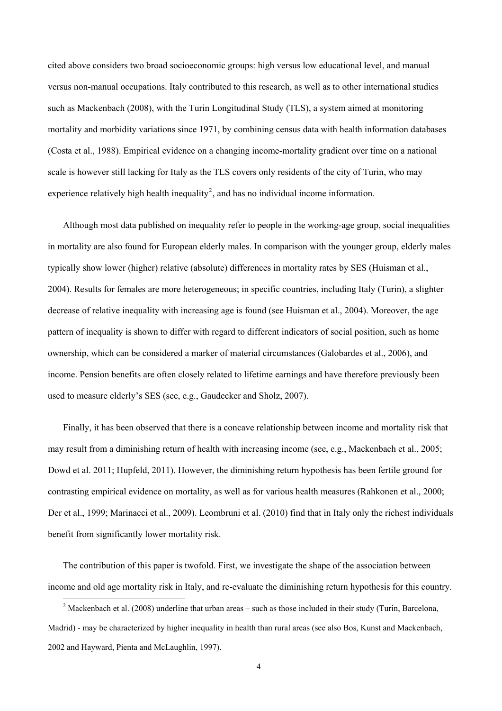cited above considers two broad socioeconomic groups: high versus low educational level, and manual versus non-manual occupations. Italy contributed to this research, as well as to other international studies such as Mackenbach (2008), with the Turin Longitudinal Study (TLS), a system aimed at monitoring mortality and morbidity variations since 1971, by combining census data with health information databases (Costa et al., 1988). Empirical evidence on a changing income-mortality gradient over time on a national scale is however still lacking for Italy as the TLS covers only residents of the city of Turin, who may experience relatively high health inequality<sup>[2](#page-4-0)</sup>, and has no individual income information.

Although most data published on inequality refer to people in the working-age group, social inequalities in mortality are also found for European elderly males. In comparison with the younger group, elderly males typically show lower (higher) relative (absolute) differences in mortality rates by SES (Huisman et al., 2004). Results for females are more heterogeneous; in specific countries, including Italy (Turin), a slighter decrease of relative inequality with increasing age is found (see Huisman et al., 2004). Moreover, the age pattern of inequality is shown to differ with regard to different indicators of social position, such as home ownership, which can be considered a marker of material circumstances (Galobardes et al., 2006), and income. Pension benefits are often closely related to lifetime earnings and have therefore previously been used to measure elderly's SES (see, e.g., Gaudecker and Sholz, 2007).

Finally, it has been observed that there is a concave relationship between income and mortality risk that may result from a diminishing return of health with increasing income (see, e.g., Mackenbach et al., 2005; Dowd et al. 2011; Hupfeld, 2011). However, the diminishing return hypothesis has been fertile ground for contrasting empirical evidence on mortality, as well as for various health measures (Rahkonen et al., 2000; Der et al., 1999; Marinacci et al., 2009). Leombruni et al. (2010) find that in Italy only the richest individuals benefit from significantly lower mortality risk.

The contribution of this paper is twofold. First, we investigate the shape of the association between income and old age mortality risk in Italy, and re-evaluate the diminishing return hypothesis for this country.

<span id="page-4-0"></span><sup>&</sup>lt;sup>2</sup> Mackenbach et al. (2008) underline that urban areas – such as those included in their study (Turin, Barcelona, Madrid) - may be characterized by higher inequality in health than rural areas (see also Bos, Kunst and Mackenbach, 2002 and Hayward, Pienta and McLaughlin, 1997).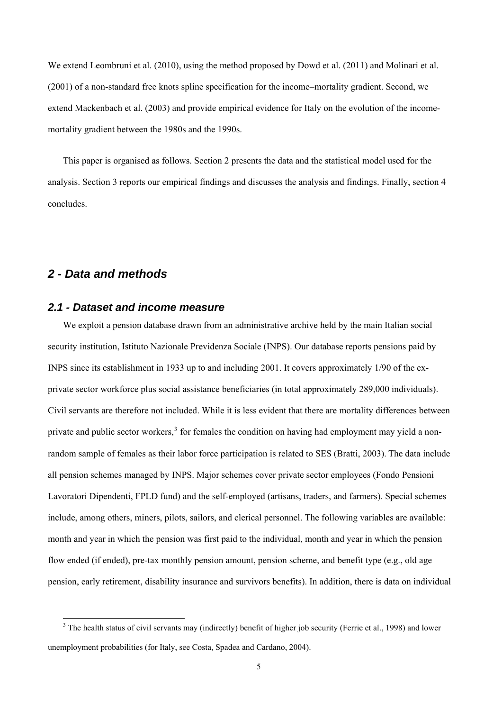We extend Leombruni et al. (2010), using the method proposed by Dowd et al. (2011) and Molinari et al. (2001) of a non-standard free knots spline specification for the income–mortality gradient. Second, we extend Mackenbach et al. (2003) and provide empirical evidence for Italy on the evolution of the incomemortality gradient between the 1980s and the 1990s.

This paper is organised as follows. Section 2 presents the data and the statistical model used for the analysis. Section 3 reports our empirical findings and discusses the analysis and findings. Finally, section 4 concludes.

### *2 - Data and methods*

#### *2.1 - Dataset and income measure*

We exploit a pension database drawn from an administrative archive held by the main Italian social security institution, Istituto Nazionale Previdenza Sociale (INPS). Our database reports pensions paid by INPS since its establishment in 1933 up to and including 2001. It covers approximately 1/90 of the exprivate sector workforce plus social assistance beneficiaries (in total approximately 289,000 individuals). Civil servants are therefore not included. While it is less evident that there are mortality differences between private and public sector workers,<sup>[3](#page-5-0)</sup> for females the condition on having had employment may yield a nonrandom sample of females as their labor force participation is related to SES (Bratti, 2003). The data include all pension schemes managed by INPS. Major schemes cover private sector employees (Fondo Pensioni Lavoratori Dipendenti, FPLD fund) and the self-employed (artisans, traders, and farmers). Special schemes include, among others, miners, pilots, sailors, and clerical personnel. The following variables are available: month and year in which the pension was first paid to the individual, month and year in which the pension flow ended (if ended), pre-tax monthly pension amount, pension scheme, and benefit type (e.g., old age pension, early retirement, disability insurance and survivors benefits). In addition, there is data on individual

<span id="page-5-0"></span><sup>&</sup>lt;sup>3</sup> The health status of civil servants may (indirectly) benefit of higher job security (Ferrie et al., 1998) and lower unemployment probabilities (for Italy, see Costa, Spadea and Cardano, 2004).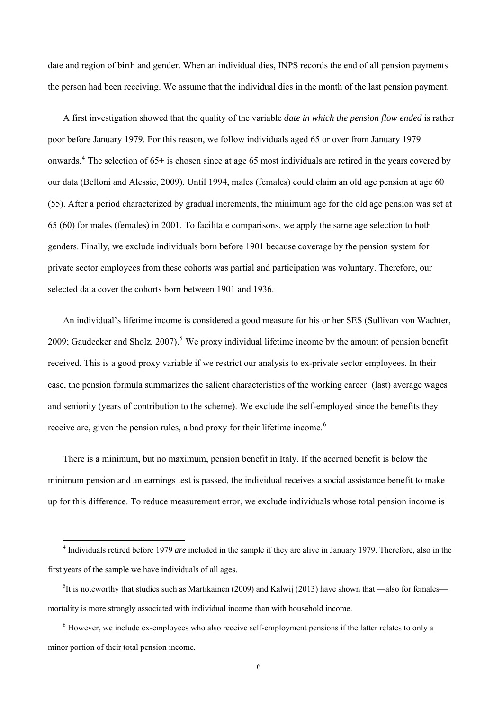date and region of birth and gender. When an individual dies, INPS records the end of all pension payments the person had been receiving. We assume that the individual dies in the month of the last pension payment.

A first investigation showed that the quality of the variable *date in which the pension flow ended* is rather poor before January 1979. For this reason, we follow individuals aged 65 or over from January 1979 onwards.<sup>[4](#page-6-0)</sup> The selection of 65+ is chosen since at age 65 most individuals are retired in the years covered by our data (Belloni and Alessie, 2009). Until 1994, males (females) could claim an old age pension at age 60 (55). After a period characterized by gradual increments, the minimum age for the old age pension was set at 65 (60) for males (females) in 2001. To facilitate comparisons, we apply the same age selection to both genders. Finally, we exclude individuals born before 1901 because coverage by the pension system for private sector employees from these cohorts was partial and participation was voluntary. Therefore, our selected data cover the cohorts born between 1901 and 1936.

An individual's lifetime income is considered a good measure for his or her SES (Sullivan von Wachter, 2009; Gaudecker and Sholz, 2007).<sup>[5](#page-6-1)</sup> We proxy individual lifetime income by the amount of pension benefit received. This is a good proxy variable if we restrict our analysis to ex-private sector employees. In their case, the pension formula summarizes the salient characteristics of the working career: (last) average wages and seniority (years of contribution to the scheme). We exclude the self-employed since the benefits they receive are, given the pension rules, a bad proxy for their lifetime income.<sup>[6](#page-6-2)</sup>

There is a minimum, but no maximum, pension benefit in Italy. If the accrued benefit is below the minimum pension and an earnings test is passed, the individual receives a social assistance benefit to make up for this difference. To reduce measurement error, we exclude individuals whose total pension income is

<span id="page-6-0"></span> 4 Individuals retired before 1979 *are* included in the sample if they are alive in January 1979. Therefore, also in the first years of the sample we have individuals of all ages.

<span id="page-6-1"></span><sup>&</sup>lt;sup>5</sup>It is noteworthy that studies such as Martikainen (2009) and Kalwij (2013) have shown that —also for females mortality is more strongly associated with individual income than with household income.

<span id="page-6-2"></span><sup>&</sup>lt;sup>6</sup> However, we include ex-employees who also receive self-employment pensions if the latter relates to only a minor portion of their total pension income.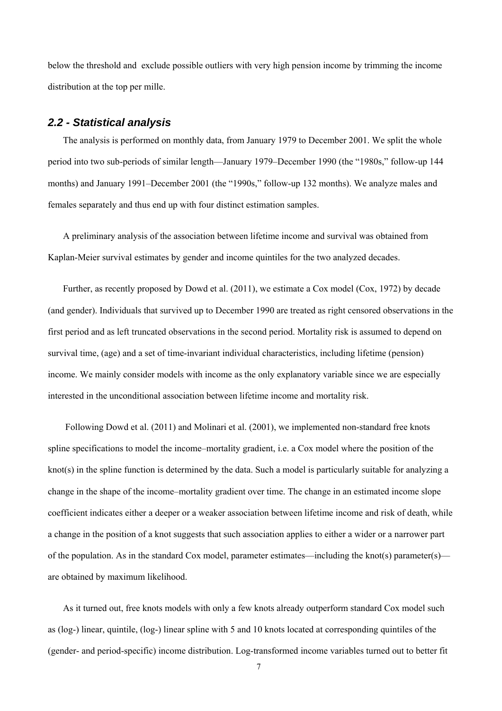below the threshold and exclude possible outliers with very high pension income by trimming the income distribution at the top per mille.

#### *2.2 - Statistical analysis*

The analysis is performed on monthly data, from January 1979 to December 2001. We split the whole period into two sub-periods of similar length—January 1979–December 1990 (the "1980s," follow-up 144 months) and January 1991–December 2001 (the "1990s," follow-up 132 months). We analyze males and females separately and thus end up with four distinct estimation samples.

A preliminary analysis of the association between lifetime income and survival was obtained from Kaplan-Meier survival estimates by gender and income quintiles for the two analyzed decades.

Further, as recently proposed by Dowd et al. (2011), we estimate a Cox model (Cox, 1972) by decade (and gender). Individuals that survived up to December 1990 are treated as right censored observations in the first period and as left truncated observations in the second period. Mortality risk is assumed to depend on survival time, (age) and a set of time-invariant individual characteristics, including lifetime (pension) income. We mainly consider models with income as the only explanatory variable since we are especially interested in the unconditional association between lifetime income and mortality risk.

 Following Dowd et al. (2011) and Molinari et al. (2001), we implemented non-standard free knots spline specifications to model the income–mortality gradient, i.e. a Cox model where the position of the knot(s) in the spline function is determined by the data. Such a model is particularly suitable for analyzing a change in the shape of the income–mortality gradient over time. The change in an estimated income slope coefficient indicates either a deeper or a weaker association between lifetime income and risk of death, while a change in the position of a knot suggests that such association applies to either a wider or a narrower part of the population. As in the standard Cox model, parameter estimates—including the knot(s) parameter(s) are obtained by maximum likelihood.

As it turned out, free knots models with only a few knots already outperform standard Cox model such as (log-) linear, quintile, (log-) linear spline with 5 and 10 knots located at corresponding quintiles of the (gender- and period-specific) income distribution. Log-transformed income variables turned out to better fit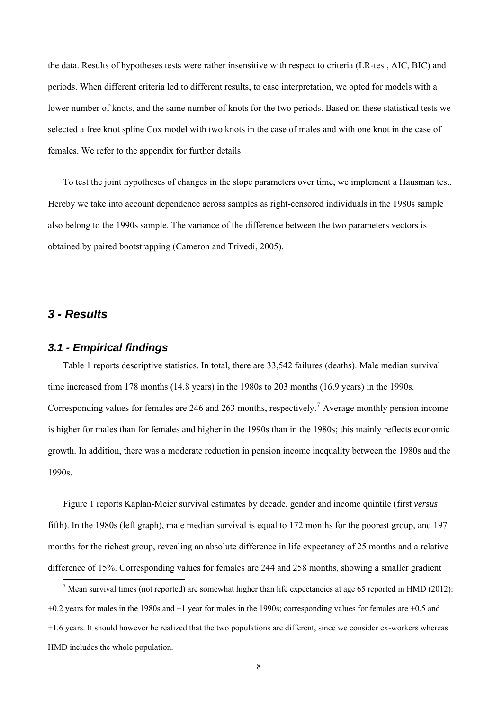the data. Results of hypotheses tests were rather insensitive with respect to criteria (LR-test, AIC, BIC) and periods. When different criteria led to different results, to ease interpretation, we opted for models with a lower number of knots, and the same number of knots for the two periods. Based on these statistical tests we selected a free knot spline Cox model with two knots in the case of males and with one knot in the case of females. We refer to the appendix for further details.

To test the joint hypotheses of changes in the slope parameters over time, we implement a Hausman test. Hereby we take into account dependence across samples as right-censored individuals in the 1980s sample also belong to the 1990s sample. The variance of the difference between the two parameters vectors is obtained by paired bootstrapping (Cameron and Trivedi, 2005).

#### *3 - Results*

l

#### *3.1 - Empirical findings*

Table 1 reports descriptive statistics. In total, there are 33,542 failures (deaths). Male median survival time increased from 178 months (14.8 years) in the 1980s to 203 months (16.9 years) in the 1990s. Corresponding values for females are 246 and 263 months, respectively.<sup>[7](#page-8-0)</sup> Average monthly pension income is higher for males than for females and higher in the 1990s than in the 1980s; this mainly reflects economic growth. In addition, there was a moderate reduction in pension income inequality between the 1980s and the 1990s.

Figure 1 reports Kaplan-Meier survival estimates by decade, gender and income quintile (first *versus* fifth). In the 1980s (left graph), male median survival is equal to 172 months for the poorest group, and 197 months for the richest group, revealing an absolute difference in life expectancy of 25 months and a relative difference of 15%. Corresponding values for females are 244 and 258 months, showing a smaller gradient

<span id="page-8-0"></span><sup>&</sup>lt;sup>7</sup> Mean survival times (not reported) are somewhat higher than life expectancies at age 65 reported in HMD (2012): +0.2 years for males in the 1980s and +1 year for males in the 1990s; corresponding values for females are +0.5 and +1.6 years. It should however be realized that the two populations are different, since we consider ex-workers whereas HMD includes the whole population.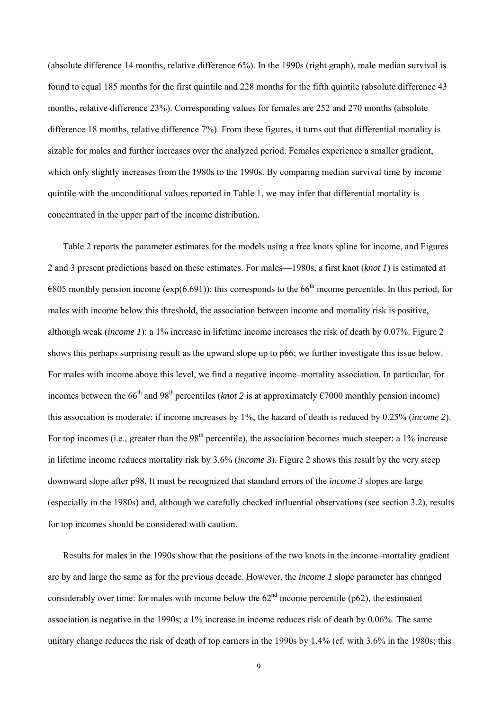(absolute difference 14 months, relative difference 6%). In the 1990s (right graph), male median survival is found to equal 185 months for the first quintile and 228 months for the fifth quintile (absolute difference 43 months, relative difference 23%). Corresponding values for females are 252 and 270 months (absolute difference 18 months, relative difference 7%). From these figures, it turns out that differential mortality is sizable for males and further increases over the analyzed period. Females experience a smaller gradient, which only slightly increases from the 1980s to the 1990s. By comparing median survival time by income quintile with the unconditional values reported in Table 1, we may infer that differential mortality is concentrated in the upper part of the income distribution.

Table 2 reports the parameter estimates for the models using a free knots spline for income, and Figures 2 and 3 present predictions based on these estimates. For males—1980s, a first knot (*knot 1*) is estimated at  $\epsilon$ 805 monthly pension income (exp(6.691)); this corresponds to the 66<sup>th</sup> income percentile. In this period, for males with income below this threshold, the association between income and mortality risk is positive, although weak (*income 1*): a 1% increase in lifetime income increases the risk of death by 0.07%. Figure 2 shows this perhaps surprising result as the upward slope up to p66; we further investigate this issue below. For males with income above this level, we find a negative income–mortality association. In particular, for incomes between the  $66<sup>th</sup>$  and 98<sup>th</sup> percentiles (*knot* 2 is at approximately  $\epsilon$ 7000 monthly pension income) this association is moderate: if income increases by 1%, the hazard of death is reduced by 0.25% (*income 2*). For top incomes (i.e., greater than the  $98<sup>th</sup>$  percentile), the association becomes much steeper: a 1% increase in lifetime income reduces mortality risk by 3.6% (*income 3*). Figure 2 shows this result by the very steep downward slope after p98. It must be recognized that standard errors of the *income 3* slopes are large (especially in the 1980s) and, although we carefully checked influential observations (see section 3.2), results for top incomes should be considered with caution.

Results for males in the 1990s show that the positions of the two knots in the income–mortality gradient are by and large the same as for the previous decade. However, the *income 1* slope parameter has changed considerably over time: for males with income below the  $62<sup>nd</sup>$  income percentile (p62), the estimated association is negative in the 1990s; a 1% increase in income reduces risk of death by 0.06%. The same unitary change reduces the risk of death of top earners in the 1990s by 1.4% (cf. with 3.6% in the 1980s; this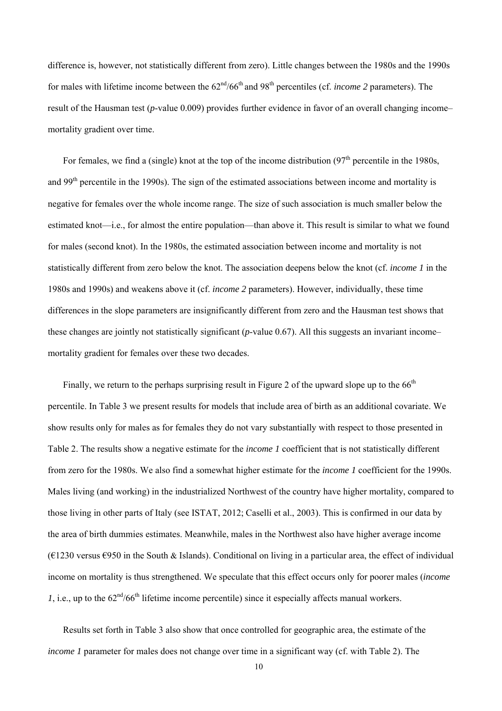difference is, however, not statistically different from zero). Little changes between the 1980s and the 1990s for males with lifetime income between the  $62<sup>nd</sup>/66<sup>th</sup>$  and 98<sup>th</sup> percentiles (cf. *income 2* parameters). The result of the Hausman test (*p*-value 0.009) provides further evidence in favor of an overall changing income– mortality gradient over time.

For females, we find a (single) knot at the top of the income distribution  $(97<sup>th</sup>$  percentile in the 1980s, and 99th percentile in the 1990s). The sign of the estimated associations between income and mortality is negative for females over the whole income range. The size of such association is much smaller below the estimated knot—i.e., for almost the entire population—than above it. This result is similar to what we found for males (second knot). In the 1980s, the estimated association between income and mortality is not statistically different from zero below the knot. The association deepens below the knot (cf. *income 1* in the 1980s and 1990s) and weakens above it (cf. *income 2* parameters). However, individually, these time differences in the slope parameters are insignificantly different from zero and the Hausman test shows that these changes are jointly not statistically significant (*p*-value 0.67). All this suggests an invariant income– mortality gradient for females over these two decades.

Finally, we return to the perhaps surprising result in Figure 2 of the upward slope up to the 66<sup>th</sup> percentile. In Table 3 we present results for models that include area of birth as an additional covariate. We show results only for males as for females they do not vary substantially with respect to those presented in Table 2. The results show a negative estimate for the *income 1* coefficient that is not statistically different from zero for the 1980s. We also find a somewhat higher estimate for the *income 1* coefficient for the 1990s. Males living (and working) in the industrialized Northwest of the country have higher mortality, compared to those living in other parts of Italy (see ISTAT, 2012; Caselli et al., 2003). This is confirmed in our data by the area of birth dummies estimates. Meanwhile, males in the Northwest also have higher average income  $(61230 \text{ versus } 6950 \text{ in the South } \& \text{ Islands})$ . Conditional on living in a particular area, the effect of individual income on mortality is thus strengthened. We speculate that this effect occurs only for poorer males (*income 1*, i.e., up to the  $62<sup>nd</sup>/66<sup>th</sup>$  lifetime income percentile) since it especially affects manual workers.

Results set forth in Table 3 also show that once controlled for geographic area, the estimate of the *income 1* parameter for males does not change over time in a significant way (cf. with Table 2). The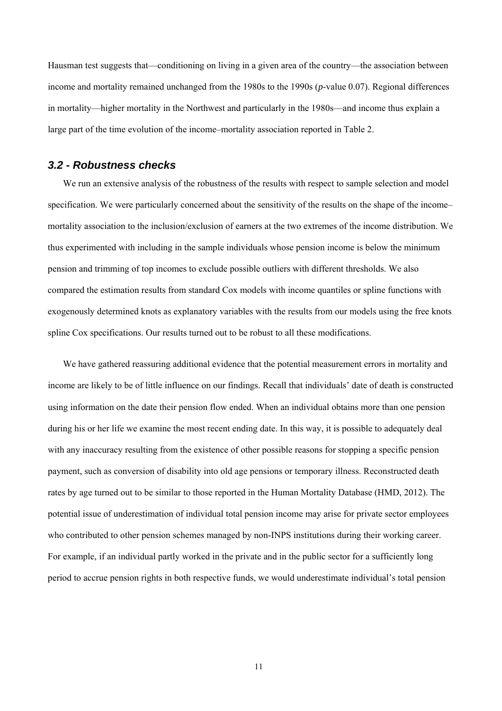Hausman test suggests that—conditioning on living in a given area of the country—the association between income and mortality remained unchanged from the 1980s to the 1990s (*p*-value 0.07). Regional differences in mortality—higher mortality in the Northwest and particularly in the 1980s—and income thus explain a large part of the time evolution of the income–mortality association reported in Table 2.

#### *3.2 - Robustness checks*

We run an extensive analysis of the robustness of the results with respect to sample selection and model specification. We were particularly concerned about the sensitivity of the results on the shape of the income– mortality association to the inclusion/exclusion of earners at the two extremes of the income distribution. We thus experimented with including in the sample individuals whose pension income is below the minimum pension and trimming of top incomes to exclude possible outliers with different thresholds. We also compared the estimation results from standard Cox models with income quantiles or spline functions with exogenously determined knots as explanatory variables with the results from our models using the free knots spline Cox specifications. Our results turned out to be robust to all these modifications.

We have gathered reassuring additional evidence that the potential measurement errors in mortality and income are likely to be of little influence on our findings. Recall that individuals' date of death is constructed using information on the date their pension flow ended. When an individual obtains more than one pension during his or her life we examine the most recent ending date. In this way, it is possible to adequately deal with any inaccuracy resulting from the existence of other possible reasons for stopping a specific pension payment, such as conversion of disability into old age pensions or temporary illness. Reconstructed death rates by age turned out to be similar to those reported in the Human Mortality Database (HMD, 2012). The potential issue of underestimation of individual total pension income may arise for private sector employees who contributed to other pension schemes managed by non-INPS institutions during their working career. For example, if an individual partly worked in the private and in the public sector for a sufficiently long period to accrue pension rights in both respective funds, we would underestimate individual's total pension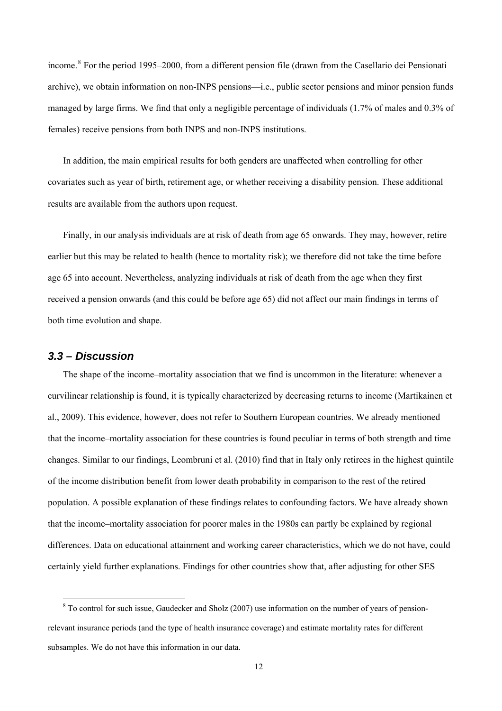income.<sup>[8](#page-12-0)</sup> For the period 1995–2000, from a different pension file (drawn from the Casellario dei Pensionati archive), we obtain information on non-INPS pensions—i.e., public sector pensions and minor pension funds managed by large firms. We find that only a negligible percentage of individuals (1.7% of males and 0.3% of females) receive pensions from both INPS and non-INPS institutions.

In addition, the main empirical results for both genders are unaffected when controlling for other covariates such as year of birth, retirement age, or whether receiving a disability pension. These additional results are available from the authors upon request.

Finally, in our analysis individuals are at risk of death from age 65 onwards. They may, however, retire earlier but this may be related to health (hence to mortality risk); we therefore did not take the time before age 65 into account. Nevertheless, analyzing individuals at risk of death from the age when they first received a pension onwards (and this could be before age 65) did not affect our main findings in terms of both time evolution and shape.

#### *3.3 – Discussion*

The shape of the income–mortality association that we find is uncommon in the literature: whenever a curvilinear relationship is found, it is typically characterized by decreasing returns to income (Martikainen et al., 2009). This evidence, however, does not refer to Southern European countries. We already mentioned that the income–mortality association for these countries is found peculiar in terms of both strength and time changes. Similar to our findings, Leombruni et al. (2010) find that in Italy only retirees in the highest quintile of the income distribution benefit from lower death probability in comparison to the rest of the retired population. A possible explanation of these findings relates to confounding factors. We have already shown that the income–mortality association for poorer males in the 1980s can partly be explained by regional differences. Data on educational attainment and working career characteristics, which we do not have, could certainly yield further explanations. Findings for other countries show that, after adjusting for other SES

<span id="page-12-0"></span><sup>&</sup>lt;sup>8</sup> To control for such issue, Gaudecker and Sholz (2007) use information on the number of years of pensionrelevant insurance periods (and the type of health insurance coverage) and estimate mortality rates for different subsamples. We do not have this information in our data.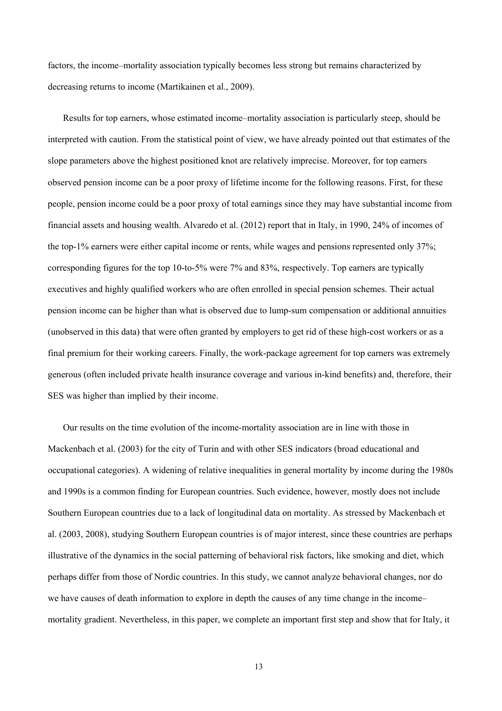factors, the income–mortality association typically becomes less strong but remains characterized by decreasing returns to income (Martikainen et al., 2009).

Results for top earners, whose estimated income–mortality association is particularly steep, should be interpreted with caution. From the statistical point of view, we have already pointed out that estimates of the slope parameters above the highest positioned knot are relatively imprecise. Moreover, for top earners observed pension income can be a poor proxy of lifetime income for the following reasons. First, for these people, pension income could be a poor proxy of total earnings since they may have substantial income from financial assets and housing wealth. Alvaredo et al. (2012) report that in Italy, in 1990, 24% of incomes of the top-1% earners were either capital income or rents, while wages and pensions represented only 37%; corresponding figures for the top 10-to-5% were 7% and 83%, respectively. Top earners are typically executives and highly qualified workers who are often enrolled in special pension schemes. Their actual pension income can be higher than what is observed due to lump-sum compensation or additional annuities (unobserved in this data) that were often granted by employers to get rid of these high-cost workers or as a final premium for their working careers. Finally, the work-package agreement for top earners was extremely generous (often included private health insurance coverage and various in-kind benefits) and, therefore, their SES was higher than implied by their income.

Our results on the time evolution of the income-mortality association are in line with those in Mackenbach et al. (2003) for the city of Turin and with other SES indicators (broad educational and occupational categories). A widening of relative inequalities in general mortality by income during the 1980s and 1990s is a common finding for European countries. Such evidence, however, mostly does not include Southern European countries due to a lack of longitudinal data on mortality. As stressed by Mackenbach et al. (2003, 2008), studying Southern European countries is of major interest, since these countries are perhaps illustrative of the dynamics in the social patterning of behavioral risk factors, like smoking and diet, which perhaps differ from those of Nordic countries. In this study, we cannot analyze behavioral changes, nor do we have causes of death information to explore in depth the causes of any time change in the income– mortality gradient. Nevertheless, in this paper, we complete an important first step and show that for Italy, it

13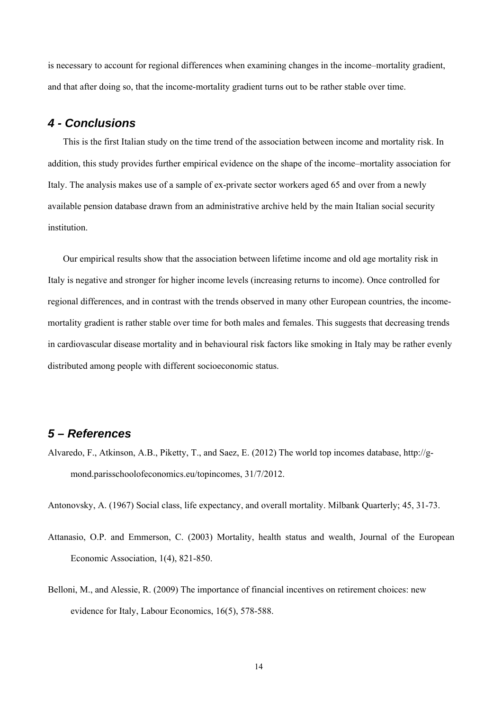is necessary to account for regional differences when examining changes in the income–mortality gradient, and that after doing so, that the income-mortality gradient turns out to be rather stable over time.

#### *4 - Conclusions*

This is the first Italian study on the time trend of the association between income and mortality risk. In addition, this study provides further empirical evidence on the shape of the income–mortality association for Italy. The analysis makes use of a sample of ex-private sector workers aged 65 and over from a newly available pension database drawn from an administrative archive held by the main Italian social security institution.

Our empirical results show that the association between lifetime income and old age mortality risk in Italy is negative and stronger for higher income levels (increasing returns to income). Once controlled for regional differences, and in contrast with the trends observed in many other European countries, the incomemortality gradient is rather stable over time for both males and females. This suggests that decreasing trends in cardiovascular disease mortality and in behavioural risk factors like smoking in Italy may be rather evenly distributed among people with different socioeconomic status.

#### *5 – References*

Alvaredo, F., Atkinson, A.B., Piketty, T., and Saez, E. (2012) The world top incomes database, http://gmond.parisschoolofeconomics.eu/topincomes, 31/7/2012.

Antonovsky, A. (1967) Social class, life expectancy, and overall mortality. Milbank Quarterly; 45, 31-73.

- Attanasio, O.P. and Emmerson, C. (2003) Mortality, health status and wealth, Journal of the European Economic Association, 1(4), 821-850.
- Belloni, M., and Alessie, R. (2009) The importance of financial incentives on retirement choices: new evidence for Italy, Labour Economics, 16(5), 578-588.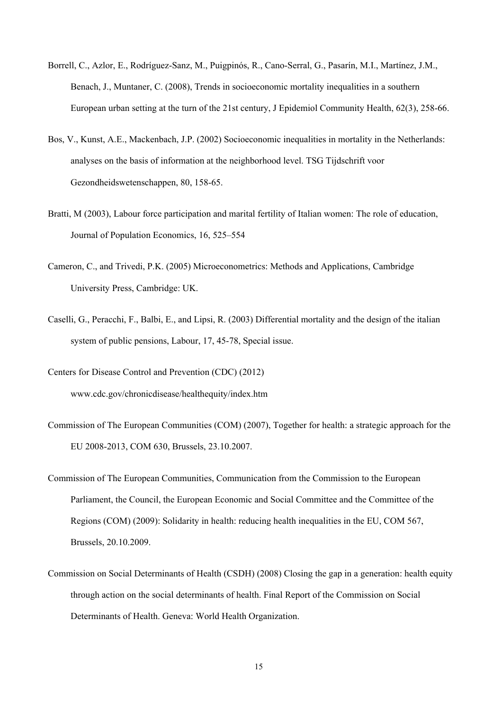- [Borrell, C.](http://www.ncbi.nlm.nih.gov/pubmed?term=Borrell%20C%5BAuthor%5D&cauthor=true&cauthor_uid=18272742), [Azlor, E](http://www.ncbi.nlm.nih.gov/pubmed?term=Azlor%20E%5BAuthor%5D&cauthor=true&cauthor_uid=18272742)., [Rodríguez-Sanz, M.](http://www.ncbi.nlm.nih.gov/pubmed?term=Rodr%C3%ADguez-Sanz%20M%5BAuthor%5D&cauthor=true&cauthor_uid=18272742), [Puigpinós, R.](http://www.ncbi.nlm.nih.gov/pubmed?term=Puigpin%C3%B3s%20R%5BAuthor%5D&cauthor=true&cauthor_uid=18272742), [Cano-Serral, G.](http://www.ncbi.nlm.nih.gov/pubmed?term=Cano-Serral%20G%5BAuthor%5D&cauthor=true&cauthor_uid=18272742), [Pasarín, M.I.](http://www.ncbi.nlm.nih.gov/pubmed?term=Pasar%C3%ADn%20MI%5BAuthor%5D&cauthor=true&cauthor_uid=18272742), [Martínez, J.M](http://www.ncbi.nlm.nih.gov/pubmed?term=Mart%C3%ADnez%20JM%5BAuthor%5D&cauthor=true&cauthor_uid=18272742)., [Benach, J](http://www.ncbi.nlm.nih.gov/pubmed?term=Benach%20J%5BAuthor%5D&cauthor=true&cauthor_uid=18272742)., [Muntaner, C](http://www.ncbi.nlm.nih.gov/pubmed?term=Muntaner%20C%5BAuthor%5D&cauthor=true&cauthor_uid=18272742). (2008), Trends in socioeconomic mortality inequalities in a southern European urban setting at the turn of the 21st century, J Epidemiol Community Health, 62(3), 258-66.
- Bos, V., Kunst, A.E., Mackenbach, J.P. (2002) Socioeconomic inequalities in mortality in the Netherlands: analyses on the basis of information at the neighborhood level. TSG Tijdschrift voor Gezondheidswetenschappen, 80, 158-65.
- Bratti, M (2003), Labour force participation and marital fertility of Italian women: The role of education, Journal of Population Economics, 16, 525–554
- Cameron, C., and Trivedi, P.K. (2005) Microeconometrics: Methods and Applications, Cambridge University Press, Cambridge: UK.
- Caselli, G., Peracchi, F., Balbi, E., and Lipsi, R. (2003) Differential mortality and the design of the italian system of public pensions, Labour, 17, 45-78, Special issue.

Centers for Disease Control and Prevention (CDC) (2012) www.cdc.gov/chronicdisease/healthequity/index.htm

- Commission of The European Communities (COM) (2007), Together for health: a strategic approach for the EU 2008-2013, COM 630, Brussels, 23.10.2007.
- Commission of The European Communities, Communication from the Commission to the European Parliament, the Council, the European Economic and Social Committee and the Committee of the Regions (COM) (2009): Solidarity in health: reducing health inequalities in the EU, COM 567, Brussels, 20.10.2009.
- Commission on Social Determinants of Health (CSDH) (2008) Closing the gap in a generation: health equity through action on the social determinants of health. Final Report of the Commission on Social Determinants of Health. Geneva: World Health Organization.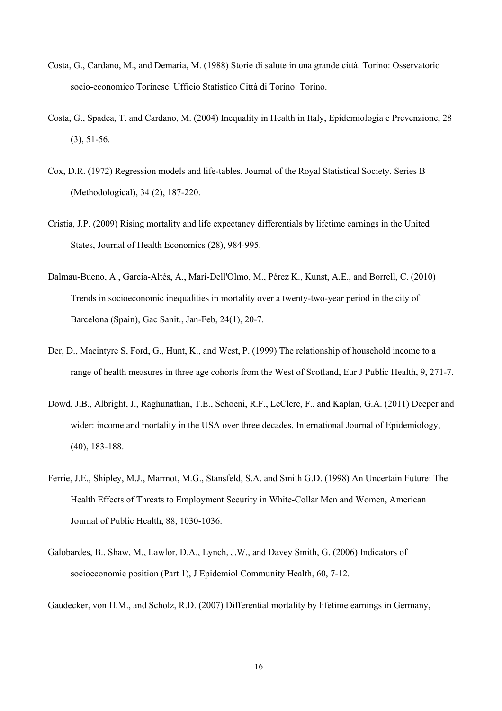- Costa, G., Cardano, M., and Demaria, M. (1988) Storie di salute in una grande città. Torino: Osservatorio socio-economico Torinese. Ufficio Statistico Città di Torino: Torino.
- Costa, G., Spadea, T. and Cardano, M. (2004) Inequality in Health in Italy, Epidemiologia e Prevenzione, 28 (3), 51-56.
- Cox, D.R. (1972) Regression models and life-tables, Journal of the Royal Statistical Society. Series B (Methodological), 34 (2), 187-220.
- Cristia, J.P. (2009) Rising mortality and life expectancy differentials by lifetime earnings in the United States, Journal of Health Economics (28), 984-995.
- Dalmau-Bueno, A., García-Altés, A., Marí-Dell'Olmo, M., Pérez K., Kunst, A.E., and Borrell, C. (2010) Trends in socioeconomic inequalities in mortality over a twenty-two-year period in the city of Barcelona (Spain), Gac Sanit., Jan-Feb, 24(1), 20-7.
- Der, D., Macintyre S, Ford, G., Hunt, K., and West, P. (1999) The relationship of household income to a range of health measures in three age cohorts from the West of Scotland, Eur J Public Health, 9, 271-7.
- Dowd, J.B., Albright, J., Raghunathan, T.E., Schoeni, R.F., LeClere, F., and Kaplan, G.A. (2011) Deeper and wider: income and mortality in the USA over three decades, International Journal of Epidemiology, (40), 183-188.
- Ferrie, J.E., Shipley, M.J., Marmot, M.G., Stansfeld, S.A. and Smith G.D. (1998) An Uncertain Future: The Health Effects of Threats to Employment Security in White-Collar Men and Women, American Journal of Public Health, 88, 1030-1036.
- Galobardes, B., Shaw, M., Lawlor, D.A., Lynch, J.W., and Davey Smith, G. (2006) Indicators of socioeconomic position (Part 1), J Epidemiol Community Health, 60, 7-12.

Gaudecker, von H.M., and Scholz, R.D. (2007) Differential mortality by lifetime earnings in Germany,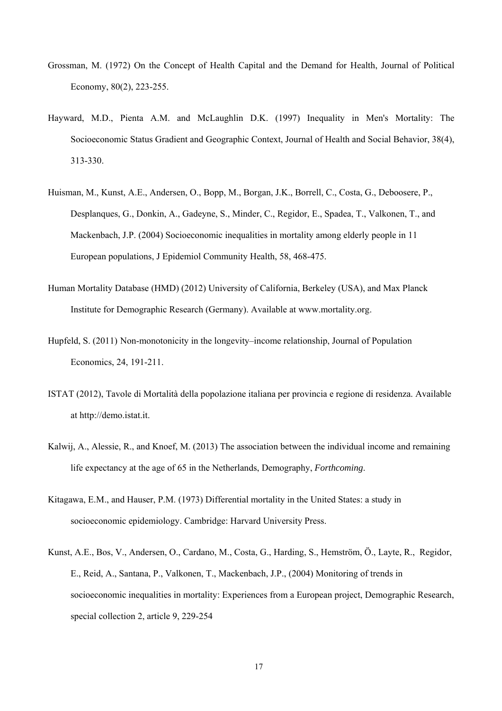- Grossman, M. (1972) On the Concept of Health Capital and the Demand for Health, Journal of Political Economy, 80(2), 223-255.
- Hayward, M.D., Pienta A.M. and McLaughlin D.K. (1997) Inequality in Men's Mortality: The Socioeconomic Status Gradient and Geographic Context, Journal of Health and Social Behavior, [38\(4\),](http://www.jstor.org/stable/i348720)  313-330.
- Huisman, M., Kunst, A.E., Andersen, O., Bopp, M., Borgan, J.K., Borrell, C., Costa, G., Deboosere, P., Desplanques, G., Donkin, A., Gadeyne, S., Minder, C., Regidor, E., Spadea, T., Valkonen, T., and Mackenbach, J.P. (2004) Socioeconomic inequalities in mortality among elderly people in 11 European populations, J Epidemiol Community Health, 58, 468-475.
- Human Mortality Database (HMD) (2012) University of California, Berkeley (USA), and Max Planck Institute for Demographic Research (Germany). Available at [www.mortality.org](http://www.mortality.org/).
- Hupfeld, S. (2011) Non-monotonicity in the longevity–income relationship, Journal of Population Economics, 24, 191-211.
- ISTAT (2012), Tavole di Mortalità della popolazione italiana per provincia e regione di residenza. Available at http://demo.istat.it.
- Kalwij, A., Alessie, R., and Knoef, M. (2013) The association between the individual income and remaining life expectancy at the age of 65 in the Netherlands, Demography, *Forthcoming*.
- Kitagawa, E.M., and Hauser, P.M. (1973) Differential mortality in the United States: a study in socioeconomic epidemiology. Cambridge: Harvard University Press.
- Kunst, A.E., Bos, V., Andersen, O., Cardano, M., Costa, G., Harding, S., Hemström, Ö., Layte, R., Regidor, E., Reid, A., Santana, P., Valkonen, T., Mackenbach, J.P., (2004) Monitoring of trends in socioeconomic inequalities in mortality: Experiences from a European project, Demographic Research, special collection 2, article 9, 229-254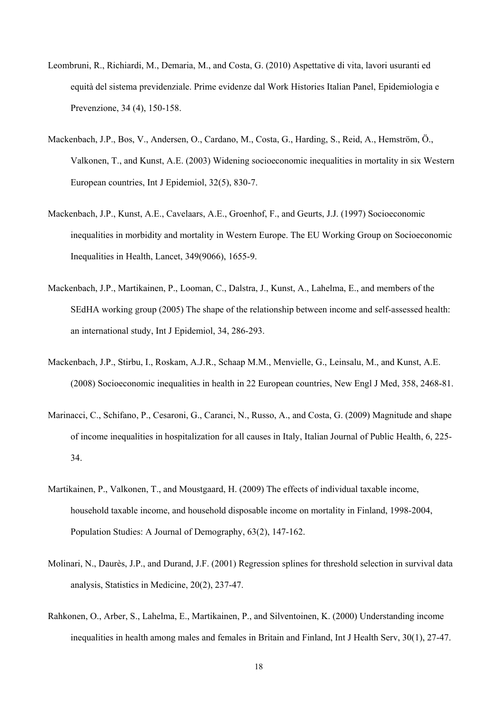- Leombruni, R., Richiardi, M., Demaria, M., and Costa, G. (2010) Aspettative di vita, lavori usuranti ed equità del sistema previdenziale. Prime evidenze dal Work Histories Italian Panel, Epidemiologia e Prevenzione, 34 (4), 150-158.
- Mackenbach, J.P., Bos, V., Andersen, O., Cardano, M., Costa, G., Harding, S., Reid, A., Hemström, Ö., Valkonen, T., and Kunst, A.E. (2003) Widening socioeconomic inequalities in mortality in six Western European countries, Int J Epidemiol, 32(5), 830-7.
- Mackenbach, J.P., Kunst, A.E., Cavelaars, A.E., Groenhof, F., and Geurts, J.J. (1997) Socioeconomic inequalities in morbidity and mortality in Western Europe. The EU Working Group on Socioeconomic Inequalities in Health, Lancet, 349(9066), 1655-9.
- Mackenbach, J.P., Martikainen, P., Looman, C., Dalstra, J., Kunst, A., Lahelma, E., and members of the SEdHA working group (2005) The shape of the relationship between income and self-assessed health: an international study, Int J Epidemiol, 34, 286-293.
- Mackenbach, J.P., Stirbu, I., Roskam, A.J.R., Schaap M.M., Menvielle, G., Leinsalu, M., and Kunst, A.E. (2008) Socioeconomic inequalities in health in 22 European countries, New Engl J Med, 358, 2468-81.
- Marinacci, C., Schifano, P., Cesaroni, G., Caranci, N., Russo, A., and Costa, G. (2009) Magnitude and shape of income inequalities in hospitalization for all causes in Italy, Italian Journal of Public Health, 6, 225- 34.
- Martikainen, P., Valkonen, T., and Moustgaard, H. (2009) The effects of individual taxable income, household taxable income, and household disposable income on mortality in Finland, 1998-2004, Population Studies: A Journal of Demography, 63(2), 147-162.
- Molinari, N., Daurès, J.P., and Durand, J.F. (2001) Regression splines for threshold selection in survival data analysis, Statistics in Medicine, 20(2), 237-47.
- Rahkonen, O., Arber, S., Lahelma, E., Martikainen, P., and Silventoinen, K. (2000) Understanding income inequalities in health among males and females in Britain and Finland, Int J Health Serv, 30(1), 27-47.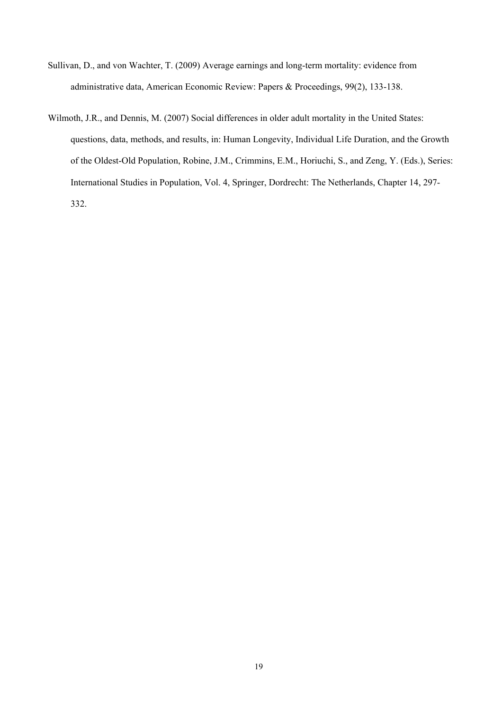- Sullivan, D., and von Wachter, T. (2009) Average earnings and long-term mortality: evidence from administrative data, American Economic Review: Papers & Proceedings, 99(2), 133-138.
- Wilmoth, J.R., and Dennis, M. (2007) Social differences in older adult mortality in the United States: questions, data, methods, and results, in: Human Longevity, Individual Life Duration, and the Growth of the Oldest-Old Population, Robine, J.M., Crimmins, E.M., Horiuchi, S., and Zeng, Y. (Eds.), Series: International Studies in Population, Vol. 4, Springer, Dordrecht: The Netherlands, Chapter 14, 297- 332.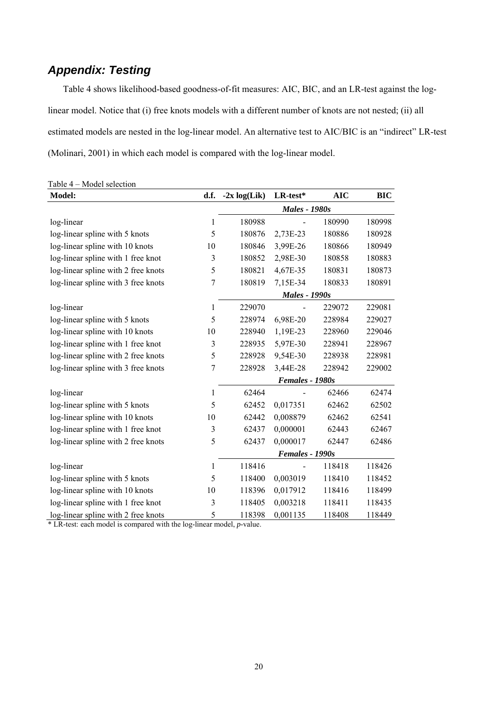# *Appendix: Testing*

Table 4 shows likelihood-based goodness-of-fit measures: AIC, BIC, and an LR-test against the loglinear model. Notice that (i) free knots models with a different number of knots are not nested; (ii) all estimated models are nested in the log-linear model. An alternative test to AIC/BIC is an "indirect" LR-test (Molinari, 2001) in which each model is compared with the log-linear model.

| Model:                              | d.f. | $-2x \log(Lik)$ | LR-test*             | <b>AIC</b> | <b>BIC</b> |
|-------------------------------------|------|-----------------|----------------------|------------|------------|
|                                     |      |                 | <b>Males - 1980s</b> |            |            |
| log-linear                          | 1    | 180988          |                      | 180990     | 180998     |
| log-linear spline with 5 knots      | 5    | 180876          | 2,73E-23             | 180886     | 180928     |
| log-linear spline with 10 knots     | 10   | 180846          | 3,99E-26             | 180866     | 180949     |
| log-linear spline with 1 free knot  | 3    | 180852          | 2,98E-30             | 180858     | 180883     |
| log-linear spline with 2 free knots | 5    | 180821          | 4,67E-35             | 180831     | 180873     |
| log-linear spline with 3 free knots | 7    | 180819          | 7,15E-34             | 180833     | 180891     |
|                                     |      |                 | <b>Males - 1990s</b> |            |            |
| log-linear                          | 1    | 229070          |                      | 229072     | 229081     |
| log-linear spline with 5 knots      | 5    | 228974          | 6,98E-20             | 228984     | 229027     |
| log-linear spline with 10 knots     | 10   | 228940          | 1,19E-23             | 228960     | 229046     |
| log-linear spline with 1 free knot  | 3    | 228935          | 5,97E-30             | 228941     | 228967     |
| log-linear spline with 2 free knots | 5    | 228928          | 9,54E-30             | 228938     | 228981     |
| log-linear spline with 3 free knots | 7    | 228928          | 3,44E-28             | 228942     | 229002     |
|                                     |      |                 | Females - 1980s      |            |            |
| log-linear                          | 1    | 62464           |                      | 62466      | 62474      |
| log-linear spline with 5 knots      | 5    | 62452           | 0,017351             | 62462      | 62502      |
| log-linear spline with 10 knots     | 10   | 62442           | 0,008879             | 62462      | 62541      |
| log-linear spline with 1 free knot  | 3    | 62437           | 0,000001             | 62443      | 62467      |
| log-linear spline with 2 free knots | 5    | 62437           | 0,000017             | 62447      | 62486      |
|                                     |      |                 | Females - 1990s      |            |            |
| log-linear                          | 1    | 118416          |                      | 118418     | 118426     |
| log-linear spline with 5 knots      | 5    | 118400          | 0,003019             | 118410     | 118452     |
| log-linear spline with 10 knots     | 10   | 118396          | 0,017912             | 118416     | 118499     |
| log-linear spline with 1 free knot  | 3    | 118405          | 0,003218             | 118411     | 118435     |
| log-linear spline with 2 free knots | 5    | 118398          | 0,001135             | 118408     | 118449     |

Table 4 – Model selection

\* LR-test: each model is compared with the log-linear model, *p*-value.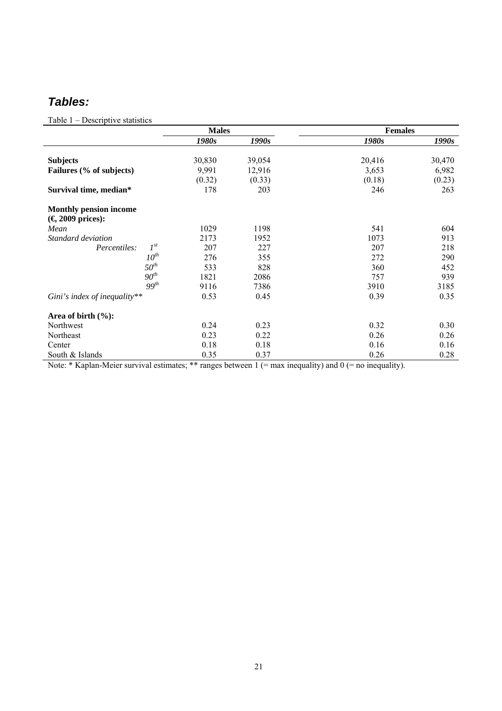# *Tables:*

Table 1 – Descriptive statistics

|                                                    | <b>Males</b> |        | <b>Females</b> |        |
|----------------------------------------------------|--------------|--------|----------------|--------|
|                                                    | 1980s        | 1990s  | 1980s          | 1990s  |
| <b>Subjects</b>                                    | 30,830       | 39,054 | 20,416         | 30,470 |
| Failures (% of subjects)                           | 9,991        | 12,916 | 3,653          | 6,982  |
|                                                    | (0.32)       | (0.33) | (0.18)         | (0.23) |
| Survival time, median*                             | 178          | 203    | 246            | 263    |
| <b>Monthly pension income</b><br>(€, 2009 prices): |              |        |                |        |
| Mean                                               | 1029         | 1198   | 541            | 604    |
| Standard deviation                                 | 2173         | 1952   | 1073           | 913    |
| $I^{st}$<br>Percentiles:                           | 207          | 227    | 207            | 218    |
| $10^{th}$                                          | 276          | 355    | 272            | 290    |
| $50^{th}$                                          | 533          | 828    | 360            | 452    |
| $90^{th}$                                          | 1821         | 2086   | 757            | 939    |
| $99^{th}$                                          | 9116         | 7386   | 3910           | 3185   |
| Gini's index of inequality**                       | 0.53         | 0.45   | 0.39           | 0.35   |
| Area of birth $(\%):$                              |              |        |                |        |
| Northwest                                          | 0.24         | 0.23   | 0.32           | 0.30   |
| Northeast                                          | 0.23         | 0.22   | 0.26           | 0.26   |
| Center                                             | 0.18         | 0.18   | 0.16           | 0.16   |
| South & Islands                                    | 0.35         | 0.37   | 0.26           | 0.28   |

Note: \* Kaplan-Meier survival estimates; \*\* ranges between 1 (= max inequality) and 0 (= no inequality).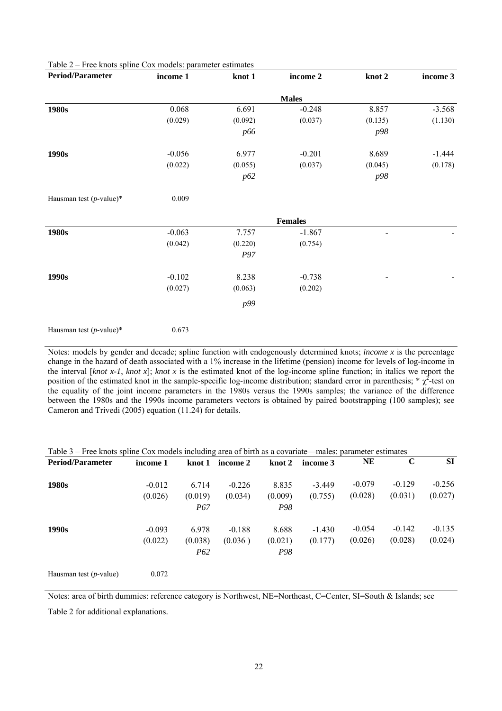| Table 2 – Free knots spline Cox models: parameter estimates |  |  |
|-------------------------------------------------------------|--|--|
|-------------------------------------------------------------|--|--|

| <b>Period/Parameter</b>     | income 1 | knot 1      | income 2       | knot 2  | income 3 |
|-----------------------------|----------|-------------|----------------|---------|----------|
|                             |          |             | <b>Males</b>   |         |          |
| 1980s                       | 0.068    | 6.691       | $-0.248$       | 8.857   | $-3.568$ |
|                             | (0.029)  | (0.092)     | (0.037)        | (0.135) | (1.130)  |
|                             |          | <i>p</i> 66 |                | p98     |          |
| 1990s                       | $-0.056$ | 6.977       | $-0.201$       | 8.689   | $-1.444$ |
|                             | (0.022)  | (0.055)     | (0.037)        | (0.045) | (0.178)  |
|                             |          | p62         |                | p98     |          |
| Hausman test $(p$ -value)*  | 0.009    |             |                |         |          |
|                             |          |             | <b>Females</b> |         |          |
| 1980s                       | $-0.063$ | 7.757       | $-1.867$       |         |          |
|                             | (0.042)  | (0.220)     | (0.754)        |         |          |
|                             |          | P97         |                |         |          |
| 1990s                       | $-0.102$ | 8.238       | $-0.738$       |         |          |
|                             | (0.027)  | (0.063)     | (0.202)        |         |          |
|                             |          | p99         |                |         |          |
| Hausman test ( $p$ -value)* | 0.673    |             |                |         |          |

Notes: models by gender and decade; spline function with endogenously determined knots; *income x* is the percentage change in the hazard of death associated with a 1% increase in the lifetime (pension) income for levels of log-income in the interval [*knot x-1*, *knot x*]; *knot x* is the estimated knot of the log-income spline function; in italics we report the position of the estimated knot in the sample-specific log-income distribution; standard error in parenthesis;  $*\chi^2$ -test on the equality of the joint income parameters in the 1980s versus the 1990s samples; the variance of the difference between the 1980s and the 1990s income parameters vectors is obtained by paired bootstrapping (100 samples); see Cameron and Trivedi (2005) equation (11.24) for details.

|  | Table 3 – Free knots spline Cox models including area of birth as a covariate—males: parameter estimates |
|--|----------------------------------------------------------------------------------------------------------|
|  |                                                                                                          |

| <b>Period/Parameter</b>   | income 1            | knot 1                              | income 2            | knot 2                  | income 3            | <b>NE</b>           | $\mathbf C$         | <b>SI</b>           |
|---------------------------|---------------------|-------------------------------------|---------------------|-------------------------|---------------------|---------------------|---------------------|---------------------|
| 1980s                     | $-0.012$<br>(0.026) | 6.714<br>(0.019)                    | $-0.226$<br>(0.034) | 8.835<br>(0.009)        | $-3.449$<br>(0.755) | $-0.079$<br>(0.028) | $-0.129$<br>(0.031) | $-0.256$<br>(0.027) |
|                           |                     | P67                                 |                     | P98                     |                     |                     |                     |                     |
| 1990s                     | $-0.093$<br>(0.022) | 6.978<br>(0.038)<br>P <sub>62</sub> | $-0.188$<br>(0.036) | 8.688<br>(0.021)<br>P98 | $-1.430$<br>(0.177) | $-0.054$<br>(0.026) | $-0.142$<br>(0.028) | $-0.135$<br>(0.024) |
| Hausman test $(p$ -value) | 0.072               |                                     |                     |                         |                     |                     |                     |                     |

Notes: area of birth dummies: reference category is Northwest, NE=Northeast, C=Center, SI=South & Islands; see

Table 2 for additional explanations.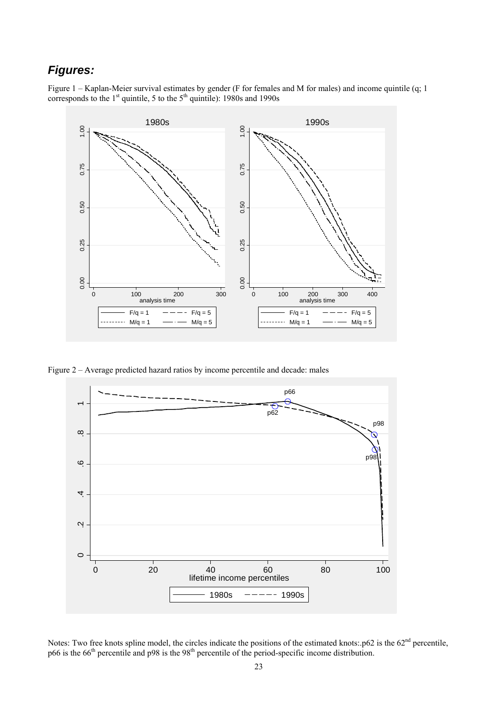# *Figures:*





Figure 2 – Average predicted hazard ratios by income percentile and decade: males



Notes: Two free knots spline model, the circles indicate the positions of the estimated knots:.p62 is the 62<sup>nd</sup> percentile, p66 is the  $66<sup>th</sup>$  percentile and p98 is the 98<sup>th</sup> percentile of the period-specific income distribution.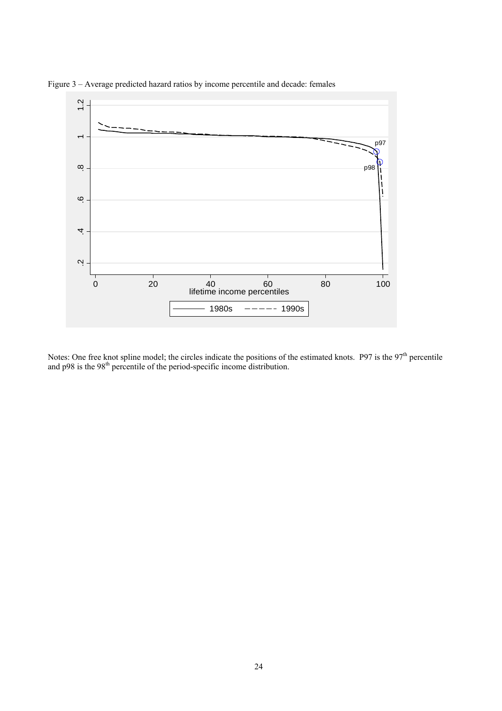

Figure 3 – Average predicted hazard ratios by income percentile and decade: females

Notes: One free knot spline model; the circles indicate the positions of the estimated knots. P97 is the  $97<sup>th</sup>$  percentile and p98 is the 98<sup>th</sup> percentile of the period-specific income distribution.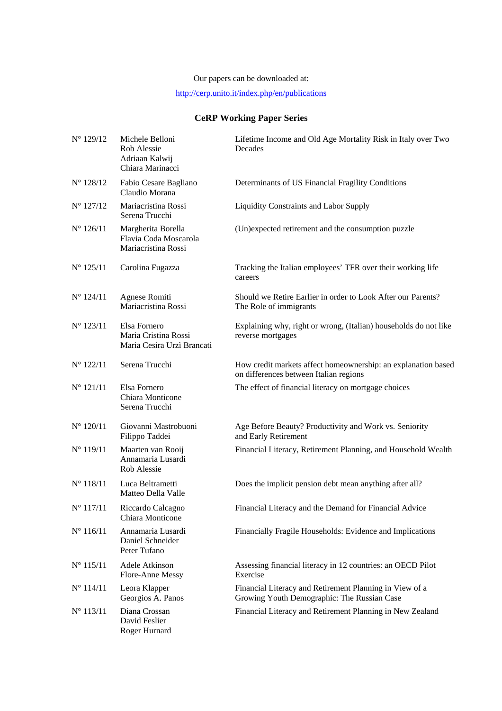#### Our papers can be downloaded at:

<http://cerp.unito.it/index.php/en/publications>

## **CeRP Working Paper Series**

| $N^{\circ}$ 129/12 | Michele Belloni<br>Rob Alessie<br>Adriaan Kalwij<br>Chiara Marinacci | Lifetime Income and Old Age Mortality Risk in Italy over Two<br>Decades                                 |
|--------------------|----------------------------------------------------------------------|---------------------------------------------------------------------------------------------------------|
| $N^{\circ}$ 128/12 | Fabio Cesare Bagliano<br>Claudio Morana                              | Determinants of US Financial Fragility Conditions                                                       |
| $N^{\circ}$ 127/12 | Mariacristina Rossi<br>Serena Trucchi                                | <b>Liquidity Constraints and Labor Supply</b>                                                           |
| $N^{\circ}$ 126/11 | Margherita Borella<br>Flavia Coda Moscarola<br>Mariacristina Rossi   | (Un)expected retirement and the consumption puzzle                                                      |
| $N^{\circ}$ 125/11 | Carolina Fugazza                                                     | Tracking the Italian employees' TFR over their working life<br>careers                                  |
| $N^{\circ} 124/11$ | Agnese Romiti<br>Mariacristina Rossi                                 | Should we Retire Earlier in order to Look After our Parents?<br>The Role of immigrants                  |
| $N^{\circ}$ 123/11 | Elsa Fornero<br>Maria Cristina Rossi<br>Maria Cesira Urzì Brancati   | Explaining why, right or wrong, (Italian) households do not like<br>reverse mortgages                   |
| $N^{\circ}$ 122/11 | Serena Trucchi                                                       | How credit markets affect homeownership: an explanation based<br>on differences between Italian regions |
| $N^{\circ}$ 121/11 | Elsa Fornero<br>Chiara Monticone<br>Serena Trucchi                   | The effect of financial literacy on mortgage choices                                                    |
| $N^{\circ}$ 120/11 | Giovanni Mastrobuoni<br>Filippo Taddei                               | Age Before Beauty? Productivity and Work vs. Seniority<br>and Early Retirement                          |
| $N^{\circ}$ 119/11 | Maarten van Rooij<br>Annamaria Lusardi<br>Rob Alessie                | Financial Literacy, Retirement Planning, and Household Wealth                                           |
| $N^{\circ}$ 118/11 | Luca Beltrametti<br>Matteo Della Valle                               | Does the implicit pension debt mean anything after all?                                                 |
| $N^{\circ}$ 117/11 | Riccardo Calcagno<br>Chiara Monticone                                | Financial Literacy and the Demand for Financial Advice                                                  |
| $N^{\circ} 116/11$ | Annamaria Lusardi<br>Daniel Schneider<br>Peter Tufano                | Financially Fragile Households: Evidence and Implications                                               |
| $N^{\circ} 115/11$ | Adele Atkinson<br>Flore-Anne Messy                                   | Assessing financial literacy in 12 countries: an OECD Pilot<br>Exercise                                 |
| $N^{\circ} 114/11$ | Leora Klapper<br>Georgios A. Panos                                   | Financial Literacy and Retirement Planning in View of a<br>Growing Youth Demographic: The Russian Case  |
| $N^{\circ}$ 113/11 | Diana Crossan<br>David Feslier<br>Roger Hurnard                      | Financial Literacy and Retirement Planning in New Zealand                                               |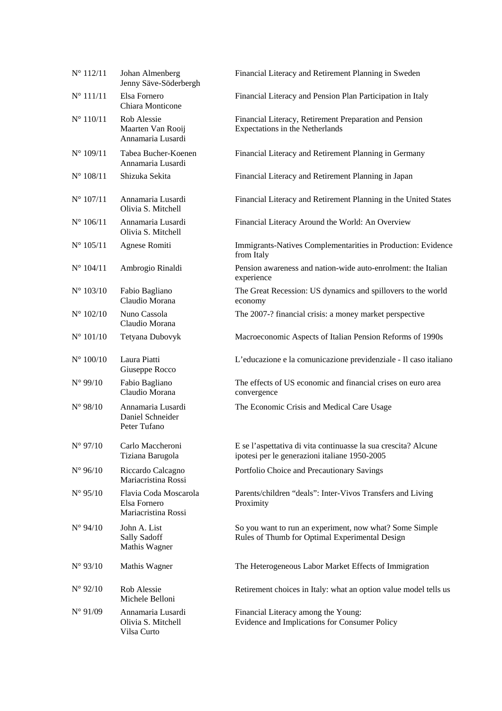| $N^{\circ} 112/11$ | Johan Almenberg<br>Jenny Säve-Söderbergh                     | Financial Literacy and Retirement Planning in Sweden                                                            |
|--------------------|--------------------------------------------------------------|-----------------------------------------------------------------------------------------------------------------|
| $N^{\circ}$ 111/11 | Elsa Fornero<br>Chiara Monticone                             | Financial Literacy and Pension Plan Participation in Italy                                                      |
| $N^{\circ}$ 110/11 | Rob Alessie<br>Maarten Van Rooij<br>Annamaria Lusardi        | Financial Literacy, Retirement Preparation and Pension<br>Expectations in the Netherlands                       |
| $N^{\circ} 109/11$ | Tabea Bucher-Koenen<br>Annamaria Lusardi                     | Financial Literacy and Retirement Planning in Germany                                                           |
| $N^{\circ}$ 108/11 | Shizuka Sekita                                               | Financial Literacy and Retirement Planning in Japan                                                             |
| $N^{\circ} 107/11$ | Annamaria Lusardi<br>Olivia S. Mitchell                      | Financial Literacy and Retirement Planning in the United States                                                 |
| $N^{\circ} 106/11$ | Annamaria Lusardi<br>Olivia S. Mitchell                      | Financial Literacy Around the World: An Overview                                                                |
| $N^{\circ} 105/11$ | Agnese Romiti                                                | Immigrants-Natives Complementarities in Production: Evidence<br>from Italy                                      |
| $N^{\circ} 104/11$ | Ambrogio Rinaldi                                             | Pension awareness and nation-wide auto-enrolment: the Italian<br>experience                                     |
| $N^{\circ}$ 103/10 | Fabio Bagliano<br>Claudio Morana                             | The Great Recession: US dynamics and spillovers to the world<br>economy                                         |
| $N^{\circ}$ 102/10 | Nuno Cassola<br>Claudio Morana                               | The 2007-? financial crisis: a money market perspective                                                         |
| $N^{\circ}$ 101/10 | Tetyana Dubovyk                                              | Macroeconomic Aspects of Italian Pension Reforms of 1990s                                                       |
| $N^{\circ}$ 100/10 | Laura Piatti<br>Giuseppe Rocco                               | L'educazione e la comunicazione previdenziale - Il caso italiano                                                |
| $N^{\circ}$ 99/10  | Fabio Bagliano<br>Claudio Morana                             | The effects of US economic and financial crises on euro area<br>convergence                                     |
| $N^{\circ}$ 98/10  | Annamaria Lusardi<br>Daniel Schneider<br>Peter Tufano        | The Economic Crisis and Medical Care Usage                                                                      |
| $N^{\circ}$ 97/10  | Carlo Maccheroni<br>Tiziana Barugola                         | E se l'aspettativa di vita continuasse la sua crescita? Alcune<br>ipotesi per le generazioni italiane 1950-2005 |
| $N^{\circ}$ 96/10  | Riccardo Calcagno<br>Mariacristina Rossi                     | Portfolio Choice and Precautionary Savings                                                                      |
| $N^{\circ}$ 95/10  | Flavia Coda Moscarola<br>Elsa Fornero<br>Mariacristina Rossi | Parents/children "deals": Inter-Vivos Transfers and Living<br>Proximity                                         |
| $N^{\circ}$ 94/10  | John A. List<br><b>Sally Sadoff</b><br>Mathis Wagner         | So you want to run an experiment, now what? Some Simple<br>Rules of Thumb for Optimal Experimental Design       |
| $N^{\circ}$ 93/10  | Mathis Wagner                                                | The Heterogeneous Labor Market Effects of Immigration                                                           |
| $N^{\circ}$ 92/10  | Rob Alessie<br>Michele Belloni                               | Retirement choices in Italy: what an option value model tells us                                                |
| $N^{\circ}$ 91/09  | Annamaria Lusardi<br>Olivia S. Mitchell<br>Vilsa Curto       | Financial Literacy among the Young:<br>Evidence and Implications for Consumer Policy                            |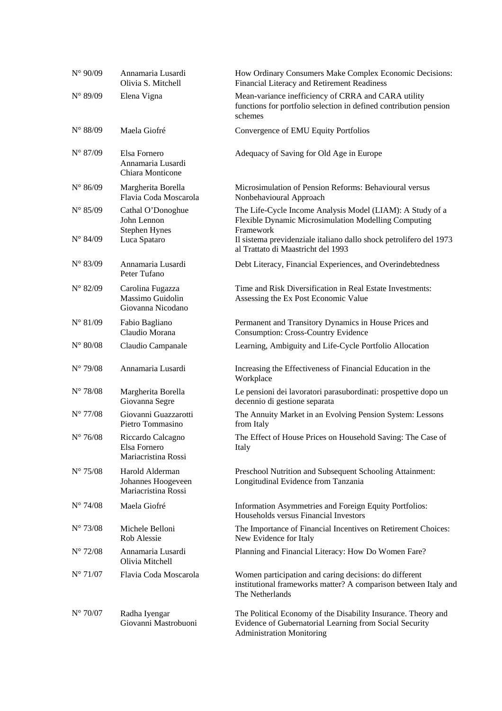| $N^{\circ}$ 90/09                      | Annamaria Lusardi<br>Olivia S. Mitchell                                  | How Ordinary Consumers Make Complex Economic Decisions:<br>Financial Literacy and Retirement Readiness                                                                                               |
|----------------------------------------|--------------------------------------------------------------------------|------------------------------------------------------------------------------------------------------------------------------------------------------------------------------------------------------|
| $N^{\circ}$ 89/09                      | Elena Vigna                                                              | Mean-variance inefficiency of CRRA and CARA utility<br>functions for portfolio selection in defined contribution pension<br>schemes                                                                  |
| $N^{\circ}$ 88/09                      | Maela Giofré                                                             | Convergence of EMU Equity Portfolios                                                                                                                                                                 |
| $N^{\circ}$ 87/09                      | Elsa Fornero<br>Annamaria Lusardi<br>Chiara Monticone                    | Adequacy of Saving for Old Age in Europe                                                                                                                                                             |
| $N^{\circ}$ 86/09                      | Margherita Borella<br>Flavia Coda Moscarola                              | Microsimulation of Pension Reforms: Behavioural versus<br>Nonbehavioural Approach                                                                                                                    |
| $N^{\circ}$ 85/09<br>$N^{\circ}$ 84/09 | Cathal O'Donoghue<br>John Lennon<br><b>Stephen Hynes</b><br>Luca Spataro | The Life-Cycle Income Analysis Model (LIAM): A Study of a<br>Flexible Dynamic Microsimulation Modelling Computing<br>Framework<br>Il sistema previdenziale italiano dallo shock petrolifero del 1973 |
|                                        |                                                                          | al Trattato di Maastricht del 1993                                                                                                                                                                   |
| $N^{\circ}$ 83/09                      | Annamaria Lusardi<br>Peter Tufano                                        | Debt Literacy, Financial Experiences, and Overindebtedness                                                                                                                                           |
| $N^{\circ}$ 82/09                      | Carolina Fugazza<br>Massimo Guidolin<br>Giovanna Nicodano                | Time and Risk Diversification in Real Estate Investments:<br>Assessing the Ex Post Economic Value                                                                                                    |
| $N^{\circ} 81/09$                      | Fabio Bagliano<br>Claudio Morana                                         | Permanent and Transitory Dynamics in House Prices and<br><b>Consumption: Cross-Country Evidence</b>                                                                                                  |
| $N^{\circ}$ 80/08                      | Claudio Campanale                                                        | Learning, Ambiguity and Life-Cycle Portfolio Allocation                                                                                                                                              |
| $N^{\circ}$ 79/08                      | Annamaria Lusardi                                                        | Increasing the Effectiveness of Financial Education in the<br>Workplace                                                                                                                              |
| $N^{\circ}$ 78/08                      | Margherita Borella<br>Giovanna Segre                                     | Le pensioni dei lavoratori parasubordinati: prospettive dopo un<br>decennio di gestione separata                                                                                                     |
| $N^{\circ}$ 77/08                      | Giovanni Guazzarotti<br>Pietro Tommasino                                 | The Annuity Market in an Evolving Pension System: Lessons<br>from Italy                                                                                                                              |
| $N^{\circ}$ 76/08                      | Riccardo Calcagno<br>Elsa Fornero<br>Mariacristina Rossi                 | The Effect of House Prices on Household Saving: The Case of<br>Italy                                                                                                                                 |
| $N^{\circ}$ 75/08                      | Harold Alderman<br>Johannes Hoogeveen<br>Mariacristina Rossi             | Preschool Nutrition and Subsequent Schooling Attainment:<br>Longitudinal Evidence from Tanzania                                                                                                      |
| $N^{\circ}$ 74/08                      | Maela Giofré                                                             | Information Asymmetries and Foreign Equity Portfolios:<br>Households versus Financial Investors                                                                                                      |
| $N^{\circ}$ 73/08                      | Michele Belloni<br>Rob Alessie                                           | The Importance of Financial Incentives on Retirement Choices:<br>New Evidence for Italy                                                                                                              |
| $N^{\circ}$ 72/08                      | Annamaria Lusardi<br>Olivia Mitchell                                     | Planning and Financial Literacy: How Do Women Fare?                                                                                                                                                  |
| $N^{\circ}$ 71/07                      | Flavia Coda Moscarola                                                    | Women participation and caring decisions: do different<br>institutional frameworks matter? A comparison between Italy and<br>The Netherlands                                                         |
| $N^{\circ}$ 70/07                      | Radha Iyengar<br>Giovanni Mastrobuoni                                    | The Political Economy of the Disability Insurance. Theory and<br>Evidence of Gubernatorial Learning from Social Security<br><b>Administration Monitoring</b>                                         |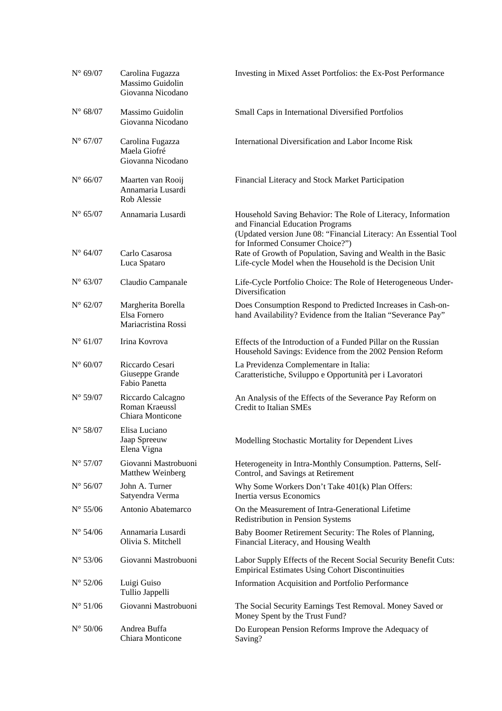| $N^{\circ}$ 69/07 | Carolina Fugazza<br>Massimo Guidolin<br>Giovanna Nicodano | Investing in Mixed Asset Portfolios: the Ex-Post Performance                                                                                                         |
|-------------------|-----------------------------------------------------------|----------------------------------------------------------------------------------------------------------------------------------------------------------------------|
| $N^{\circ}$ 68/07 | Massimo Guidolin<br>Giovanna Nicodano                     | Small Caps in International Diversified Portfolios                                                                                                                   |
| $N^{\circ}$ 67/07 | Carolina Fugazza<br>Maela Giofré<br>Giovanna Nicodano     | International Diversification and Labor Income Risk                                                                                                                  |
| $N^{\circ}$ 66/07 | Maarten van Rooij<br>Annamaria Lusardi<br>Rob Alessie     | Financial Literacy and Stock Market Participation                                                                                                                    |
| $N^{\circ}$ 65/07 | Annamaria Lusardi                                         | Household Saving Behavior: The Role of Literacy, Information<br>and Financial Education Programs<br>(Updated version June 08: "Financial Literacy: An Essential Tool |
| $N^{\circ}$ 64/07 | Carlo Casarosa<br>Luca Spataro                            | for Informed Consumer Choice?")<br>Rate of Growth of Population, Saving and Wealth in the Basic<br>Life-cycle Model when the Household is the Decision Unit          |
| $N^{\circ}$ 63/07 | Claudio Campanale                                         | Life-Cycle Portfolio Choice: The Role of Heterogeneous Under-<br>Diversification                                                                                     |
| $N^{\circ}$ 62/07 | Margherita Borella<br>Elsa Fornero<br>Mariacristina Rossi | Does Consumption Respond to Predicted Increases in Cash-on-<br>hand Availability? Evidence from the Italian "Severance Pay"                                          |
| $N^{\circ}$ 61/07 | Irina Kovrova                                             | Effects of the Introduction of a Funded Pillar on the Russian<br>Household Savings: Evidence from the 2002 Pension Reform                                            |
| $N^{\circ}$ 60/07 | Riccardo Cesari<br>Giuseppe Grande<br>Fabio Panetta       | La Previdenza Complementare in Italia:<br>Caratteristiche, Sviluppo e Opportunità per i Lavoratori                                                                   |
| $N^{\circ}$ 59/07 | Riccardo Calcagno<br>Roman Kraeussl<br>Chiara Monticone   | An Analysis of the Effects of the Severance Pay Reform on<br>Credit to Italian SMEs                                                                                  |
| $N^{\circ}$ 58/07 | Elisa Luciano<br>Jaap Spreeuw<br>Elena Vigna              | Modelling Stochastic Mortality for Dependent Lives                                                                                                                   |
| $N^{\circ}$ 57/07 | Giovanni Mastrobuoni<br>Matthew Weinberg                  | Heterogeneity in Intra-Monthly Consumption. Patterns, Self-<br>Control, and Savings at Retirement                                                                    |
| $N^{\circ}$ 56/07 | John A. Turner<br>Satyendra Verma                         | Why Some Workers Don't Take 401(k) Plan Offers:<br>Inertia versus Economics                                                                                          |
| $N^{\circ}$ 55/06 | Antonio Abatemarco                                        | On the Measurement of Intra-Generational Lifetime<br>Redistribution in Pension Systems                                                                               |
| $N^{\circ}$ 54/06 | Annamaria Lusardi<br>Olivia S. Mitchell                   | Baby Boomer Retirement Security: The Roles of Planning,<br>Financial Literacy, and Housing Wealth                                                                    |
| $N^{\circ}$ 53/06 | Giovanni Mastrobuoni                                      | Labor Supply Effects of the Recent Social Security Benefit Cuts:<br><b>Empirical Estimates Using Cohort Discontinuities</b>                                          |
| $N^{\circ}$ 52/06 | Luigi Guiso<br>Tullio Jappelli                            | Information Acquisition and Portfolio Performance                                                                                                                    |
| $N^{\circ}$ 51/06 | Giovanni Mastrobuoni                                      | The Social Security Earnings Test Removal. Money Saved or<br>Money Spent by the Trust Fund?                                                                          |
| $N^{\circ}$ 50/06 | Andrea Buffa<br>Chiara Monticone                          | Do European Pension Reforms Improve the Adequacy of<br>Saving?                                                                                                       |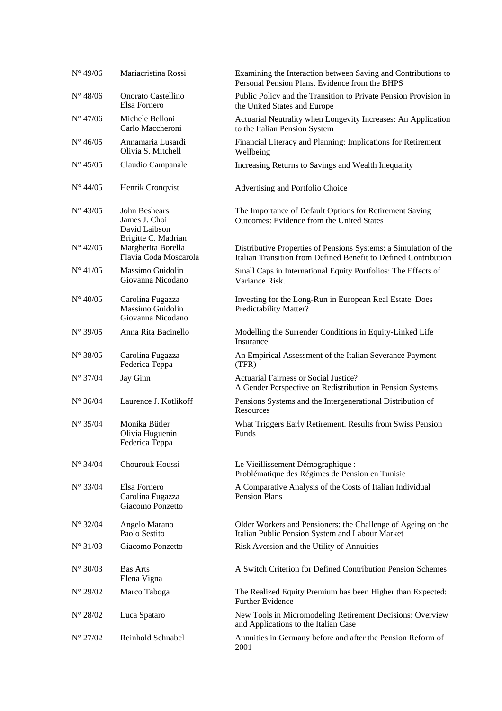| $N^{\circ}$ 49/06 | Mariacristina Rossi                                                    | Examining the Interaction between Saving and Contributions to<br>Personal Pension Plans. Evidence from the BHPS                     |
|-------------------|------------------------------------------------------------------------|-------------------------------------------------------------------------------------------------------------------------------------|
| $N^{\circ}$ 48/06 | Onorato Castellino<br>Elsa Fornero                                     | Public Policy and the Transition to Private Pension Provision in<br>the United States and Europe                                    |
| $N^{\circ}$ 47/06 | Michele Belloni<br>Carlo Maccheroni                                    | Actuarial Neutrality when Longevity Increases: An Application<br>to the Italian Pension System                                      |
| $N^{\circ}$ 46/05 | Annamaria Lusardi<br>Olivia S. Mitchell                                | Financial Literacy and Planning: Implications for Retirement<br>Wellbeing                                                           |
| $N^{\circ}$ 45/05 | Claudio Campanale                                                      | Increasing Returns to Savings and Wealth Inequality                                                                                 |
| $N^{\circ}$ 44/05 | Henrik Cronqvist                                                       | Advertising and Portfolio Choice                                                                                                    |
| $N^{\circ}$ 43/05 | John Beshears<br>James J. Choi<br>David Laibson<br>Brigitte C. Madrian | The Importance of Default Options for Retirement Saving<br>Outcomes: Evidence from the United States                                |
| $N^{\circ}$ 42/05 | Margherita Borella<br>Flavia Coda Moscarola                            | Distributive Properties of Pensions Systems: a Simulation of the<br>Italian Transition from Defined Benefit to Defined Contribution |
| $N^{\circ}$ 41/05 | Massimo Guidolin<br>Giovanna Nicodano                                  | Small Caps in International Equity Portfolios: The Effects of<br>Variance Risk.                                                     |
| $N^{\circ}$ 40/05 | Carolina Fugazza<br>Massimo Guidolin<br>Giovanna Nicodano              | Investing for the Long-Run in European Real Estate. Does<br>Predictability Matter?                                                  |
| $N^{\circ}$ 39/05 | Anna Rita Bacinello                                                    | Modelling the Surrender Conditions in Equity-Linked Life<br>Insurance                                                               |
| $N^{\circ}$ 38/05 | Carolina Fugazza<br>Federica Teppa                                     | An Empirical Assessment of the Italian Severance Payment<br>(TFR)                                                                   |
| $N^{\circ}$ 37/04 | Jay Ginn                                                               | Actuarial Fairness or Social Justice?<br>A Gender Perspective on Redistribution in Pension Systems                                  |
| $N^{\circ}$ 36/04 | Laurence J. Kotlikoff                                                  | Pensions Systems and the Intergenerational Distribution of<br>Resources                                                             |
| $N^{\circ}$ 35/04 | Monika Bütler<br>Olivia Huguenin<br>Federica Teppa                     | What Triggers Early Retirement. Results from Swiss Pension<br>Funds                                                                 |
| $N^{\circ}$ 34/04 | Chourouk Houssi                                                        | Le Vieillissement Démographique :<br>Problématique des Régimes de Pension en Tunisie                                                |
| $N^{\circ}$ 33/04 | Elsa Fornero<br>Carolina Fugazza<br>Giacomo Ponzetto                   | A Comparative Analysis of the Costs of Italian Individual<br>Pension Plans                                                          |
| $N^{\circ}$ 32/04 | Angelo Marano<br>Paolo Sestito                                         | Older Workers and Pensioners: the Challenge of Ageing on the<br>Italian Public Pension System and Labour Market                     |
| $N^{\circ}$ 31/03 | Giacomo Ponzetto                                                       | Risk Aversion and the Utility of Annuities                                                                                          |
| $N^{\circ}$ 30/03 | <b>Bas Arts</b><br>Elena Vigna                                         | A Switch Criterion for Defined Contribution Pension Schemes                                                                         |
| $N^{\circ}$ 29/02 | Marco Taboga                                                           | The Realized Equity Premium has been Higher than Expected:<br><b>Further Evidence</b>                                               |
| $N^{\circ}$ 28/02 | Luca Spataro                                                           | New Tools in Micromodeling Retirement Decisions: Overview<br>and Applications to the Italian Case                                   |
| $N^{\circ}$ 27/02 | Reinhold Schnabel                                                      | Annuities in Germany before and after the Pension Reform of<br>2001                                                                 |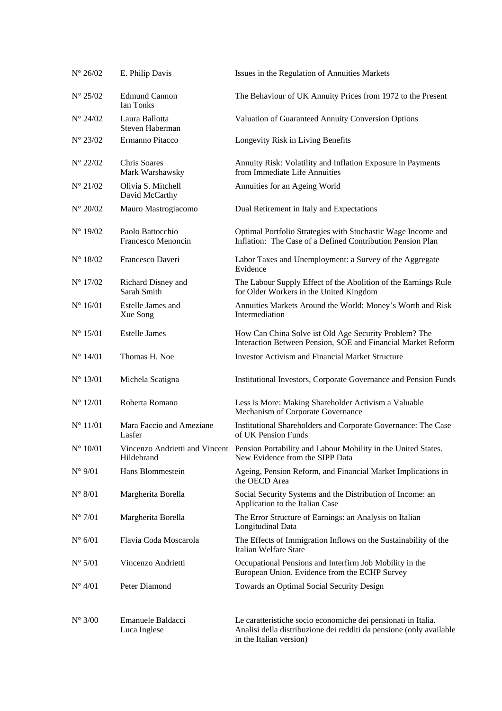| $N^{\circ}$ 26/02 | E. Philip Davis                        | Issues in the Regulation of Annuities Markets                                                                                                                   |
|-------------------|----------------------------------------|-----------------------------------------------------------------------------------------------------------------------------------------------------------------|
| $N^{\circ}$ 25/02 | <b>Edmund Cannon</b><br>Ian Tonks      | The Behaviour of UK Annuity Prices from 1972 to the Present                                                                                                     |
| $N^{\circ}$ 24/02 | Laura Ballotta<br>Steven Haberman      | Valuation of Guaranteed Annuity Conversion Options                                                                                                              |
| $N^{\circ}$ 23/02 | Ermanno Pitacco                        | Longevity Risk in Living Benefits                                                                                                                               |
| $N^{\circ}$ 22/02 | Chris Soares<br>Mark Warshawsky        | Annuity Risk: Volatility and Inflation Exposure in Payments<br>from Immediate Life Annuities                                                                    |
| $N^{\circ}$ 21/02 | Olivia S. Mitchell<br>David McCarthy   | Annuities for an Ageing World                                                                                                                                   |
| $N^{\circ}$ 20/02 | Mauro Mastrogiacomo                    | Dual Retirement in Italy and Expectations                                                                                                                       |
| $N^{\circ}$ 19/02 | Paolo Battocchio<br>Francesco Menoncin | Optimal Portfolio Strategies with Stochastic Wage Income and<br>Inflation: The Case of a Defined Contribution Pension Plan                                      |
| $N^{\circ}$ 18/02 | Francesco Daveri                       | Labor Taxes and Unemployment: a Survey of the Aggregate<br>Evidence                                                                                             |
| $N^{\circ}$ 17/02 | Richard Disney and<br>Sarah Smith      | The Labour Supply Effect of the Abolition of the Earnings Rule<br>for Older Workers in the United Kingdom                                                       |
| $N^{\circ}$ 16/01 | Estelle James and<br>Xue Song          | Annuities Markets Around the World: Money's Worth and Risk<br>Intermediation                                                                                    |
| $N^{\circ}$ 15/01 | <b>Estelle James</b>                   | How Can China Solve ist Old Age Security Problem? The<br>Interaction Between Pension, SOE and Financial Market Reform                                           |
| $N^{\circ}$ 14/01 | Thomas H. Noe                          | <b>Investor Activism and Financial Market Structure</b>                                                                                                         |
| $N^{\circ}$ 13/01 | Michela Scatigna                       | Institutional Investors, Corporate Governance and Pension Funds                                                                                                 |
| $N^{\circ}$ 12/01 | Roberta Romano                         | Less is More: Making Shareholder Activism a Valuable<br>Mechanism of Corporate Governance                                                                       |
| $N^{\circ}$ 11/01 | Mara Faccio and Ameziane<br>Lasfer     | Institutional Shareholders and Corporate Governance: The Case<br>of UK Pension Funds                                                                            |
| $N^{\circ}$ 10/01 | Hildebrand                             | Vincenzo Andrietti and Vincent Pension Portability and Labour Mobility in the United States.<br>New Evidence from the SIPP Data                                 |
| $N^{\circ}$ 9/01  | Hans Blommestein                       | Ageing, Pension Reform, and Financial Market Implications in<br>the OECD Area                                                                                   |
| $N^{\circ}$ 8/01  | Margherita Borella                     | Social Security Systems and the Distribution of Income: an<br>Application to the Italian Case                                                                   |
| $N^{\circ}$ 7/01  | Margherita Borella                     | The Error Structure of Earnings: an Analysis on Italian<br>Longitudinal Data                                                                                    |
| $N^{\circ}$ 6/01  | Flavia Coda Moscarola                  | The Effects of Immigration Inflows on the Sustainability of the<br>Italian Welfare State                                                                        |
| $N^{\circ}$ 5/01  | Vincenzo Andrietti                     | Occupational Pensions and Interfirm Job Mobility in the<br>European Union. Evidence from the ECHP Survey                                                        |
| $N^{\circ}$ 4/01  | Peter Diamond                          | Towards an Optimal Social Security Design                                                                                                                       |
| $N^{\circ}$ 3/00  | Emanuele Baldacci<br>Luca Inglese      | Le caratteristiche socio economiche dei pensionati in Italia.<br>Analisi della distribuzione dei redditi da pensione (only available<br>in the Italian version) |